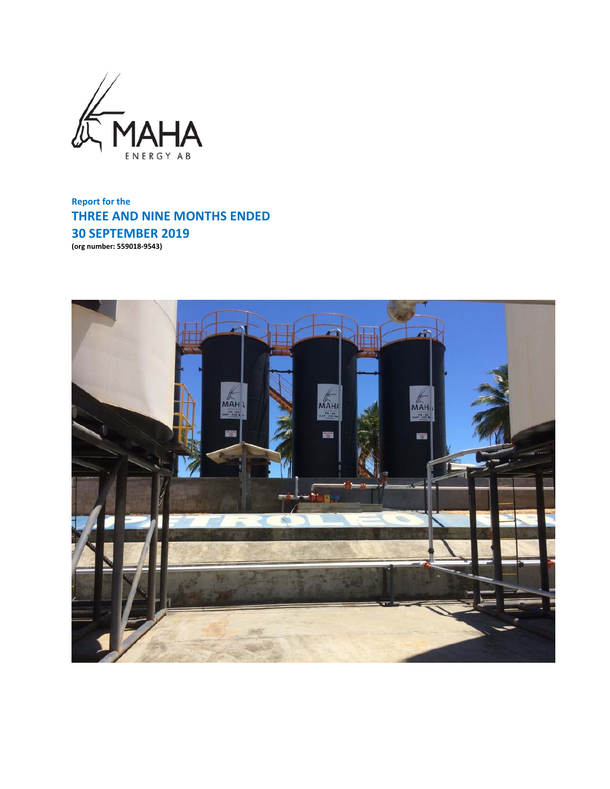

**Report for the THREE AND NINE MONTHS ENDED 30 SEPTEMBER 2019 (org number: 559018‐9543)**

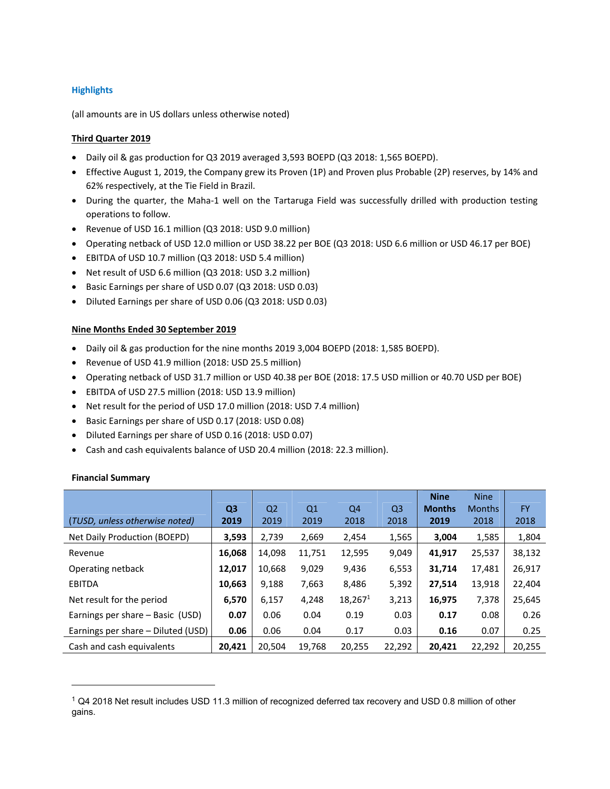# **Highlights**

(all amounts are in US dollars unless otherwise noted)

# **Third Quarter 2019**

- Daily oil & gas production for Q3 2019 averaged 3,593 BOEPD (Q3 2018: 1,565 BOEPD).
- Effective August 1, 2019, the Company grew its Proven (1P) and Proven plus Probable (2P) reserves, by 14% and 62% respectively, at the Tie Field in Brazil.
- During the quarter, the Maha-1 well on the Tartaruga Field was successfully drilled with production testing operations to follow.
- Revenue of USD 16.1 million (Q3 2018: USD 9.0 million)
- Operating netback of USD 12.0 million or USD 38.22 per BOE (Q3 2018: USD 6.6 million or USD 46.17 per BOE)
- EBITDA of USD 10.7 million (Q3 2018: USD 5.4 million)
- Net result of USD 6.6 million (Q3 2018: USD 3.2 million)
- Basic Earnings per share of USD 0.07 (Q3 2018: USD 0.03)
- Diluted Earnings per share of USD 0.06 (Q3 2018: USD 0.03)

# **Nine Months Ended 30 September 2019**

- Daily oil & gas production for the nine months 2019 3,004 BOEPD (2018: 1,585 BOEPD).
- Revenue of USD 41.9 million (2018: USD 25.5 million)
- Operating netback of USD 31.7 million or USD 40.38 per BOE (2018: 17.5 USD million or 40.70 USD per BOE)
- EBITDA of USD 27.5 million (2018: USD 13.9 million)
- Net result for the period of USD 17.0 million (2018: USD 7.4 million)
- Basic Earnings per share of USD 0.17 (2018: USD 0.08)
- Diluted Earnings per share of USD 0.16 (2018: USD 0.07)
- Cash and cash equivalents balance of USD 20.4 million (2018: 22.3 million).

# **Financial Summary**

l

|                                    |                |                |                |            |                | <b>Nine</b>   | <b>Nine</b>   |           |
|------------------------------------|----------------|----------------|----------------|------------|----------------|---------------|---------------|-----------|
|                                    | Q <sub>3</sub> | Q <sub>2</sub> | Q <sub>1</sub> | Q4         | Q <sub>3</sub> | <b>Months</b> | <b>Months</b> | <b>FY</b> |
| (TUSD, unless otherwise noted)     | 2019           | 2019           | 2019           | 2018       | 2018           | 2019          | 2018          | 2018      |
| Net Daily Production (BOEPD)       | 3,593          | 2,739          | 2,669          | 2,454      | 1,565          | 3,004         | 1,585         | 1,804     |
| Revenue                            | 16,068         | 14.098         | 11,751         | 12,595     | 9,049          | 41,917        | 25,537        | 38,132    |
| Operating netback                  | 12.017         | 10.668         | 9,029          | 9,436      | 6,553          | 31,714        | 17.481        | 26,917    |
| <b>EBITDA</b>                      | 10.663         | 9,188          | 7,663          | 8,486      | 5,392          | 27,514        | 13,918        | 22,404    |
| Net result for the period          | 6,570          | 6,157          | 4,248          | $18,267^1$ | 3,213          | 16,975        | 7,378         | 25,645    |
| Earnings per share – Basic (USD)   | 0.07           | 0.06           | 0.04           | 0.19       | 0.03           | 0.17          | 0.08          | 0.26      |
| Earnings per share - Diluted (USD) | 0.06           | 0.06           | 0.04           | 0.17       | 0.03           | 0.16          | 0.07          | 0.25      |
| Cash and cash equivalents          | 20.421         | 20.504         | 19.768         | 20,255     | 22,292         | 20.421        | 22.292        | 20,255    |

<sup>1</sup> Q4 2018 Net result includes USD 11.3 million of recognized deferred tax recovery and USD 0.8 million of other gains.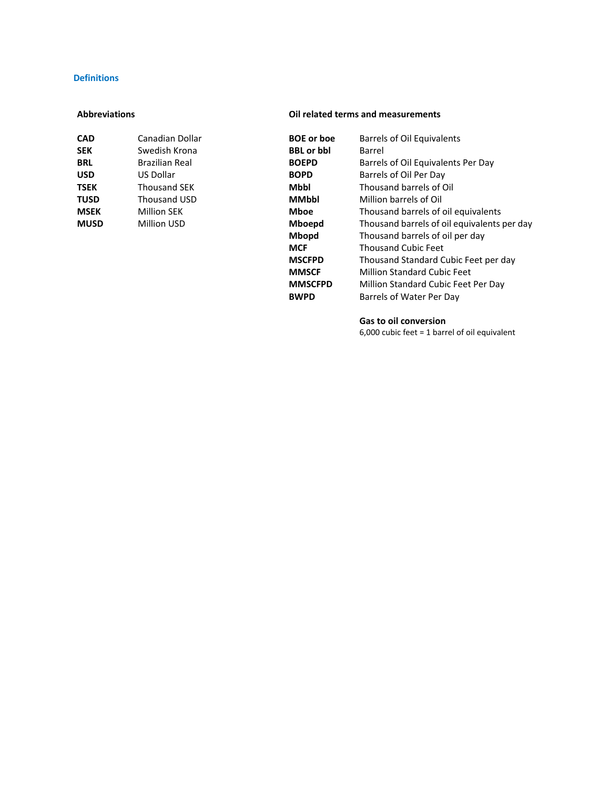# **Definitions**

| <b>CAD</b>  | Canadian Dollar     | <b>BOE</b> or boe | Barrel        |
|-------------|---------------------|-------------------|---------------|
| <b>SEK</b>  | Swedish Krona       | <b>BBL</b> or bbl | <b>Barrel</b> |
| <b>BRL</b>  | Brazilian Real      | <b>BOEPD</b>      | Barrel        |
| <b>USD</b>  | US Dollar           | <b>BOPD</b>       | Barrel        |
| <b>TSEK</b> | <b>Thousand SEK</b> | <b>Mbbl</b>       | Thous         |
| <b>TUSD</b> | Thousand USD        | <b>MMbbl</b>      | Millior       |
| <b>MSEK</b> | <b>Million SEK</b>  | <b>Mboe</b>       | Thous         |
| <b>MUSD</b> | <b>Million USD</b>  | <b>Mboepd</b>     | Thous         |
|             |                     |                   |               |

### **Abbreviations Oil related terms and measurements**

| <b>CAD</b>  | Canadian Dollar       | <b>BOE</b> or boe | Barrels of Oil Equivalents                  |
|-------------|-----------------------|-------------------|---------------------------------------------|
| <b>SEK</b>  | Swedish Krona         | <b>BBL</b> or bbl | <b>Barrel</b>                               |
| <b>BRL</b>  | <b>Brazilian Real</b> | <b>BOEPD</b>      | Barrels of Oil Equivalents Per Day          |
| USD         | US Dollar             | <b>BOPD</b>       | Barrels of Oil Per Day                      |
| TSEK        | <b>Thousand SEK</b>   | <b>Mbbl</b>       | Thousand barrels of Oil                     |
| TUSD        | <b>Thousand USD</b>   | <b>MMbbl</b>      | Million barrels of Oil                      |
| <b>MSEK</b> | <b>Million SEK</b>    | <b>Mboe</b>       | Thousand barrels of oil equivalents         |
| <b>MUSD</b> | Million USD           | <b>Mboepd</b>     | Thousand barrels of oil equivalents per day |
|             |                       | <b>Mbopd</b>      | Thousand barrels of oil per day             |
|             |                       | <b>MCF</b>        | <b>Thousand Cubic Feet</b>                  |
|             |                       | <b>MSCFPD</b>     | Thousand Standard Cubic Feet per day        |
|             |                       | <b>MMSCF</b>      | <b>Million Standard Cubic Feet</b>          |
|             |                       | <b>MMSCFPD</b>    | Million Standard Cubic Feet Per Day         |
|             |                       | <b>BWPD</b>       | Barrels of Water Per Day                    |
|             |                       |                   |                                             |

### **Gas to oil conversion**

6,000 cubic feet = 1 barrel of oil equivalent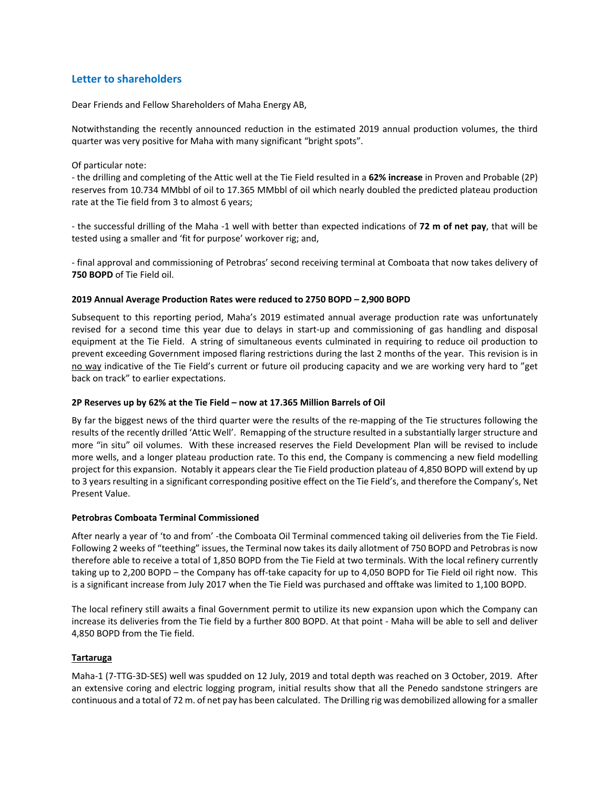# **Letter to shareholders**

Dear Friends and Fellow Shareholders of Maha Energy AB,

Notwithstanding the recently announced reduction in the estimated 2019 annual production volumes, the third quarter was very positive for Maha with many significant "bright spots".

Of particular note:

‐ the drilling and completing of the Attic well at the Tie Field resulted in a **62% increase** in Proven and Probable (2P) reserves from 10.734 MMbbl of oil to 17.365 MMbbl of oil which nearly doubled the predicted plateau production rate at the Tie field from 3 to almost 6 years;

‐ the successful drilling of the Maha ‐1 well with better than expected indications of **72 m of net pay**, that will be tested using a smaller and 'fit for purpose' workover rig; and,

‐ final approval and commissioning of Petrobras' second receiving terminal at Comboata that now takes delivery of **750 BOPD** of Tie Field oil.

### **2019 Annual Average Production Rates were reduced to 2750 BOPD – 2,900 BOPD**

Subsequent to this reporting period, Maha's 2019 estimated annual average production rate was unfortunately revised for a second time this year due to delays in start-up and commissioning of gas handling and disposal equipment at the Tie Field. A string of simultaneous events culminated in requiring to reduce oil production to prevent exceeding Government imposed flaring restrictions during the last 2 months of the year. This revision is in no way indicative of the Tie Field's current or future oil producing capacity and we are working very hard to "get back on track" to earlier expectations.

### **2P Reserves up by 62% at the Tie Field – now at 17.365 Million Barrels of Oil**

By far the biggest news of the third quarter were the results of the re-mapping of the Tie structures following the results of the recently drilled 'Attic Well'. Remapping of the structure resulted in a substantially larger structure and more "in situ" oil volumes. With these increased reserves the Field Development Plan will be revised to include more wells, and a longer plateau production rate. To this end, the Company is commencing a new field modelling project for this expansion. Notably it appears clear the Tie Field production plateau of 4,850 BOPD will extend by up to 3 years resulting in a significant corresponding positive effect on the Tie Field's, and therefore the Company's, Net Present Value.

### **Petrobras Comboata Terminal Commissioned**

After nearly a year of 'to and from' ‐the Comboata Oil Terminal commenced taking oil deliveries from the Tie Field. Following 2 weeks of "teething" issues, the Terminal now takes its daily allotment of 750 BOPD and Petrobras is now therefore able to receive a total of 1,850 BOPD from the Tie Field at two terminals. With the local refinery currently taking up to 2,200 BOPD – the Company has off-take capacity for up to 4,050 BOPD for Tie Field oil right now. This is a significant increase from July 2017 when the Tie Field was purchased and offtake was limited to 1,100 BOPD.

The local refinery still awaits a final Government permit to utilize its new expansion upon which the Company can increase its deliveries from the Tie field by a further 800 BOPD. At that point ‐ Maha will be able to sell and deliver 4,850 BOPD from the Tie field.

### **Tartaruga**

Maha‐1 (7‐TTG‐3D‐SES) well was spudded on 12 July, 2019 and total depth was reached on 3 October, 2019. After an extensive coring and electric logging program, initial results show that all the Penedo sandstone stringers are continuous and a total of 72 m. of net pay has been calculated. The Drilling rig was demobilized allowing for a smaller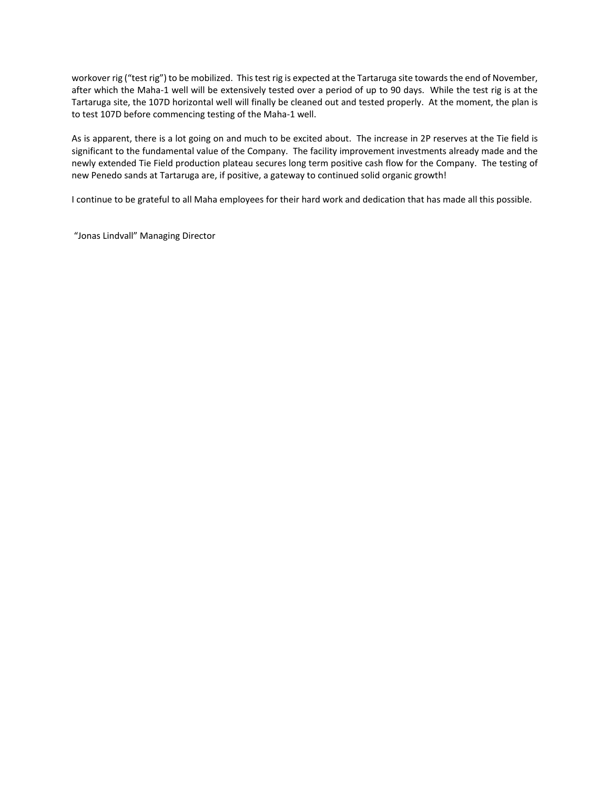workover rig ("test rig") to be mobilized. This test rig is expected at the Tartaruga site towards the end of November, after which the Maha‐1 well will be extensively tested over a period of up to 90 days. While the test rig is at the Tartaruga site, the 107D horizontal well will finally be cleaned out and tested properly. At the moment, the plan is to test 107D before commencing testing of the Maha‐1 well.

As is apparent, there is a lot going on and much to be excited about. The increase in 2P reserves at the Tie field is significant to the fundamental value of the Company. The facility improvement investments already made and the newly extended Tie Field production plateau secures long term positive cash flow for the Company. The testing of new Penedo sands at Tartaruga are, if positive, a gateway to continued solid organic growth!

I continue to be grateful to all Maha employees for their hard work and dedication that has made all this possible.

"Jonas Lindvall" Managing Director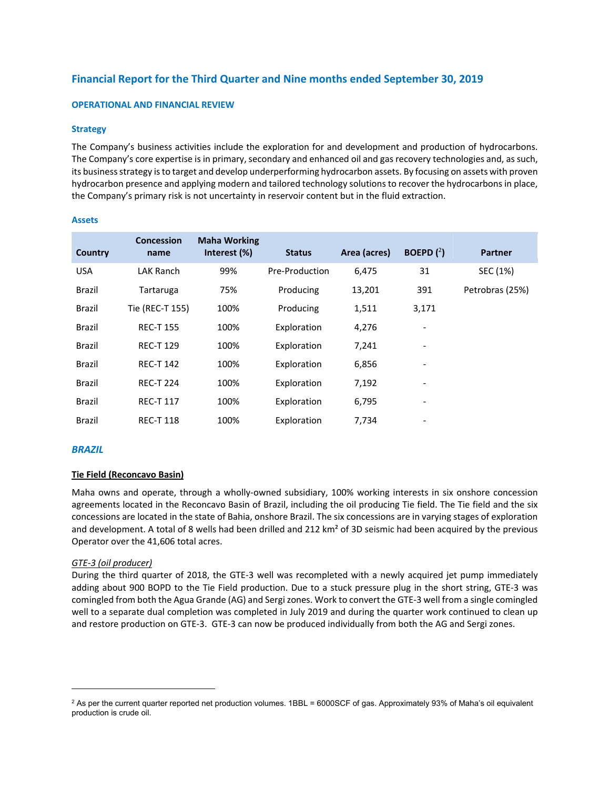# **Financial Report for the Third Quarter and Nine months ended September 30, 2019**

### **OPERATIONAL AND FINANCIAL REVIEW**

### **Strategy**

The Company's business activities include the exploration for and development and production of hydrocarbons. The Company's core expertise is in primary, secondary and enhanced oil and gas recovery technologies and, as such, its business strategy is to target and develop underperforming hydrocarbon assets. By focusing on assets with proven hydrocarbon presence and applying modern and tailored technology solutions to recover the hydrocarbons in place, the Company's primary risk is not uncertainty in reservoir content but in the fluid extraction.

### **Assets**

| Country       | <b>Concession</b><br>name | <b>Maha Working</b><br>Interest (%) | <b>Status</b>  | Area (acres) | BOEPD $(2)$              | <b>Partner</b>  |
|---------------|---------------------------|-------------------------------------|----------------|--------------|--------------------------|-----------------|
| <b>USA</b>    | <b>LAK Ranch</b>          | 99%                                 | Pre-Production | 6,475        | 31                       | SEC (1%)        |
| <b>Brazil</b> | Tartaruga                 | 75%                                 | Producing      | 13,201       | 391                      | Petrobras (25%) |
| <b>Brazil</b> | Tie (REC-T 155)           | 100%                                | Producing      | 1,511        | 3,171                    |                 |
| Brazil        | <b>REC-T 155</b>          | 100%                                | Exploration    | 4,276        |                          |                 |
| <b>Brazil</b> | <b>REC-T129</b>           | 100%                                | Exploration    | 7,241        | $\overline{\phantom{a}}$ |                 |
| <b>Brazil</b> | <b>REC-T 142</b>          | 100%                                | Exploration    | 6,856        | $\overline{\phantom{a}}$ |                 |
| <b>Brazil</b> | <b>REC-T 224</b>          | 100%                                | Exploration    | 7,192        | $\overline{\phantom{a}}$ |                 |
| <b>Brazil</b> | <b>REC-T 117</b>          | 100%                                | Exploration    | 6,795        | $\overline{\phantom{a}}$ |                 |
| Brazil        | <b>REC-T118</b>           | 100%                                | Exploration    | 7,734        | $\overline{\phantom{0}}$ |                 |

### *BRAZIL*

l

# **Tie Field (Reconcavo Basin)**

Maha owns and operate, through a wholly-owned subsidiary, 100% working interests in six onshore concession agreements located in the Reconcavo Basin of Brazil, including the oil producing Tie field. The Tie field and the six concessions are located in the state of Bahia, onshore Brazil. The six concessions are in varying stages of exploration and development. A total of 8 wells had been drilled and 212 km<sup>2</sup> of 3D seismic had been acquired by the previous Operator over the 41,606 total acres.

### *GTE‐3 (oil producer)*

During the third quarter of 2018, the GTE‐3 well was recompleted with a newly acquired jet pump immediately adding about 900 BOPD to the Tie Field production. Due to a stuck pressure plug in the short string, GTE‐3 was comingled from both the Agua Grande (AG) and Sergi zones. Work to convert the GTE‐3 well from a single comingled well to a separate dual completion was completed in July 2019 and during the quarter work continued to clean up and restore production on GTE-3. GTE-3 can now be produced individually from both the AG and Sergi zones.

 $^2$  As per the current quarter reported net production volumes. 1BBL = 6000SCF of gas. Approximately 93% of Maha's oil equivalent production is crude oil.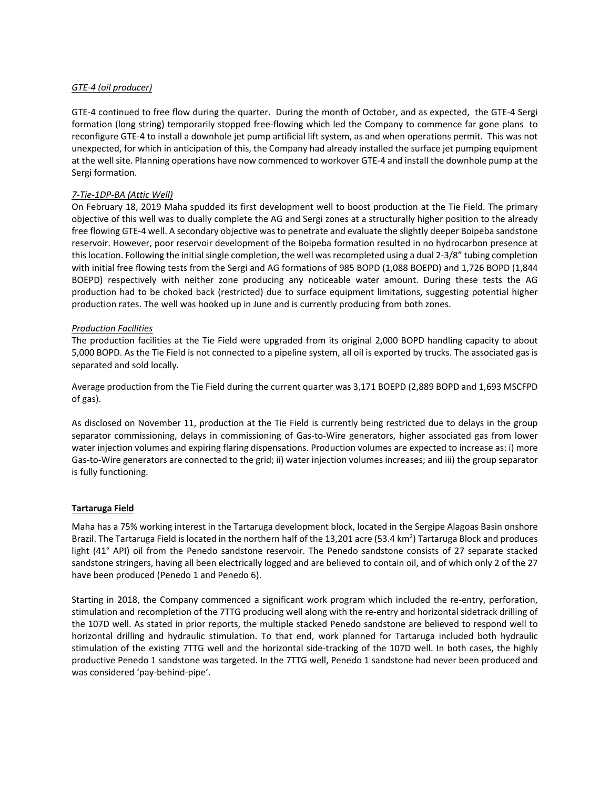# *GTE‐4 (oil producer)*

GTE‐4 continued to free flow during the quarter. During the month of October, and as expected, the GTE‐4 Sergi formation (long string) temporarily stopped free-flowing which led the Company to commence far gone plans to reconfigure GTE‐4 to install a downhole jet pump artificial lift system, as and when operations permit. This was not unexpected, for which in anticipation of this, the Company had already installed the surface jet pumping equipment at the well site. Planning operations have now commenced to workover GTE‐4 and install the downhole pump at the Sergi formation.

# *7‐Tie‐1DP‐BA (Attic Well)*

On February 18, 2019 Maha spudded its first development well to boost production at the Tie Field. The primary objective of this well was to dually complete the AG and Sergi zones at a structurally higher position to the already free flowing GTE‐4 well. A secondary objective was to penetrate and evaluate the slightly deeper Boipeba sandstone reservoir. However, poor reservoir development of the Boipeba formation resulted in no hydrocarbon presence at this location. Following the initial single completion, the well was recompleted using a dual 2‐3/8" tubing completion with initial free flowing tests from the Sergi and AG formations of 985 BOPD (1,088 BOEPD) and 1,726 BOPD (1,844 BOEPD) respectively with neither zone producing any noticeable water amount. During these tests the AG production had to be choked back (restricted) due to surface equipment limitations, suggesting potential higher production rates. The well was hooked up in June and is currently producing from both zones.

# *Production Facilities*

The production facilities at the Tie Field were upgraded from its original 2,000 BOPD handling capacity to about 5,000 BOPD. As the Tie Field is not connected to a pipeline system, all oil is exported by trucks. The associated gas is separated and sold locally.

Average production from the Tie Field during the current quarter was 3,171 BOEPD (2,889 BOPD and 1,693 MSCFPD of gas).

As disclosed on November 11, production at the Tie Field is currently being restricted due to delays in the group separator commissioning, delays in commissioning of Gas-to-Wire generators, higher associated gas from lower water injection volumes and expiring flaring dispensations. Production volumes are expected to increase as: i) more Gas-to-Wire generators are connected to the grid; ii) water injection volumes increases; and iii) the group separator is fully functioning.

# **Tartaruga Field**

Maha has a 75% working interest in the Tartaruga development block, located in the Sergipe Alagoas Basin onshore Brazil. The Tartaruga Field is located in the northern half of the 13,201 acre (53.4 km<sup>2</sup>) Tartaruga Block and produces light (41° API) oil from the Penedo sandstone reservoir. The Penedo sandstone consists of 27 separate stacked sandstone stringers, having all been electrically logged and are believed to contain oil, and of which only 2 of the 27 have been produced (Penedo 1 and Penedo 6).

Starting in 2018, the Company commenced a significant work program which included the re‐entry, perforation, stimulation and recompletion of the 7TTG producing well along with the re-entry and horizontal sidetrack drilling of the 107D well. As stated in prior reports, the multiple stacked Penedo sandstone are believed to respond well to horizontal drilling and hydraulic stimulation. To that end, work planned for Tartaruga included both hydraulic stimulation of the existing 7TTG well and the horizontal side‐tracking of the 107D well. In both cases, the highly productive Penedo 1 sandstone was targeted. In the 7TTG well, Penedo 1 sandstone had never been produced and was considered 'pay‐behind‐pipe'.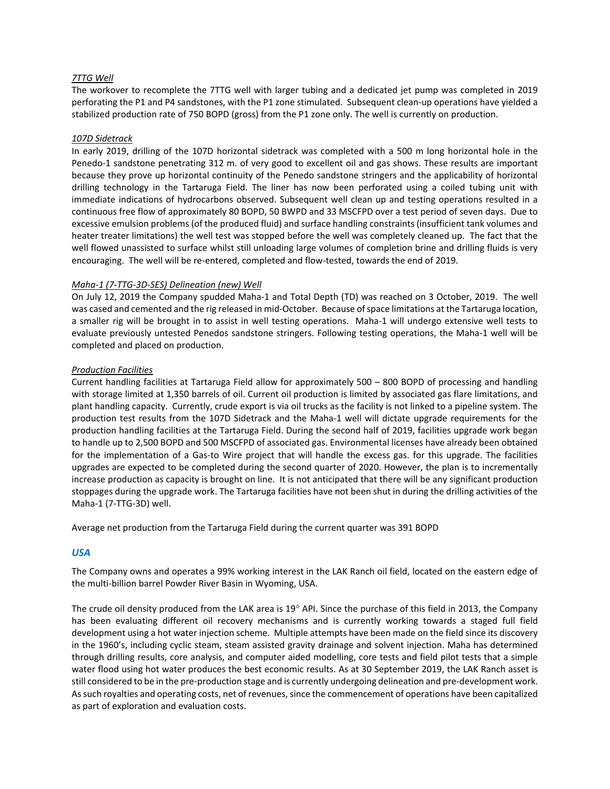### *7TTG Well*

The workover to recomplete the 7TTG well with larger tubing and a dedicated jet pump was completed in 2019 perforating the P1 and P4 sandstones, with the P1 zone stimulated. Subsequent clean‐up operations have yielded a stabilized production rate of 750 BOPD (gross) from the P1 zone only. The well is currently on production.

### *107D Sidetrack*

In early 2019, drilling of the 107D horizontal sidetrack was completed with a 500 m long horizontal hole in the Penedo‐1 sandstone penetrating 312 m. of very good to excellent oil and gas shows. These results are important because they prove up horizontal continuity of the Penedo sandstone stringers and the applicability of horizontal drilling technology in the Tartaruga Field. The liner has now been perforated using a coiled tubing unit with immediate indications of hydrocarbons observed. Subsequent well clean up and testing operations resulted in a continuous free flow of approximately 80 BOPD, 50 BWPD and 33 MSCFPD over a test period of seven days. Due to excessive emulsion problems (of the produced fluid) and surface handling constraints (insufficient tank volumes and heater treater limitations) the well test was stopped before the well was completely cleaned up. The fact that the well flowed unassisted to surface whilst still unloading large volumes of completion brine and drilling fluids is very encouraging. The well will be re-entered, completed and flow-tested, towards the end of 2019.

### *Maha‐1 (7‐TTG‐3D‐SES) Delineation (new) Well*

On July 12, 2019 the Company spudded Maha‐1 and Total Depth (TD) was reached on 3 October, 2019. The well was cased and cemented and the rig released in mid-October. Because of space limitations at the Tartaruga location, a smaller rig will be brought in to assist in well testing operations. Maha-1 will undergo extensive well tests to evaluate previously untested Penedos sandstone stringers. Following testing operations, the Maha‐1 well will be completed and placed on production.

### *Production Facilities*

Current handling facilities at Tartaruga Field allow for approximately 500 – 800 BOPD of processing and handling with storage limited at 1,350 barrels of oil. Current oil production is limited by associated gas flare limitations, and plant handling capacity. Currently, crude export is via oil trucks as the facility is not linked to a pipeline system. The production test results from the 107D Sidetrack and the Maha‐1 well will dictate upgrade requirements for the production handling facilities at the Tartaruga Field. During the second half of 2019, facilities upgrade work began to handle up to 2,500 BOPD and 500 MSCFPD of associated gas. Environmental licenses have already been obtained for the implementation of a Gas-to Wire project that will handle the excess gas. for this upgrade. The facilities upgrades are expected to be completed during the second quarter of 2020. However, the plan is to incrementally increase production as capacity is brought on line. It is not anticipated that there will be any significant production stoppages during the upgrade work. The Tartaruga facilities have not been shut in during the drilling activities of the Maha‐1 (7‐TTG‐3D) well.

Average net production from the Tartaruga Field during the current quarter was 391 BOPD

# *USA*

The Company owns and operates a 99% working interest in the LAK Ranch oil field, located on the eastern edge of the multi‐billion barrel Powder River Basin in Wyoming, USA.

The crude oil density produced from the LAK area is 19° API. Since the purchase of this field in 2013, the Company has been evaluating different oil recovery mechanisms and is currently working towards a staged full field development using a hot water injection scheme. Multiple attempts have been made on the field since its discovery in the 1960's, including cyclic steam, steam assisted gravity drainage and solvent injection. Maha has determined through drilling results, core analysis, and computer aided modelling, core tests and field pilot tests that a simple water flood using hot water produces the best economic results. As at 30 September 2019, the LAK Ranch asset is still considered to be in the pre‐production stage and is currently undergoing delineation and pre‐development work. As such royalties and operating costs, net of revenues, since the commencement of operations have been capitalized as part of exploration and evaluation costs.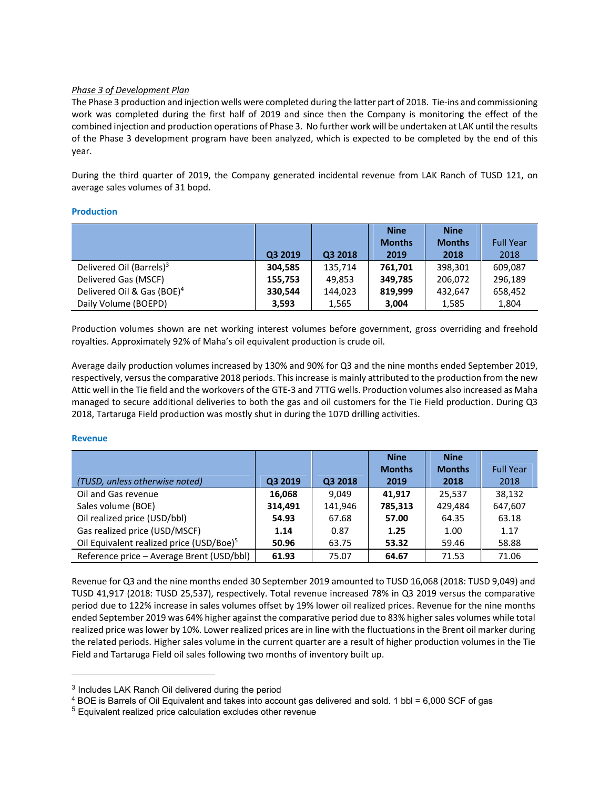### *Phase 3 of Development Plan*

The Phase 3 production and injection wells were completed during the latter part of 2018. Tie‐ins and commissioning work was completed during the first half of 2019 and since then the Company is monitoring the effect of the combined injection and production operations of Phase 3. No further work will be undertaken at LAK until the results of the Phase 3 development program have been analyzed, which is expected to be completed by the end of this year.

During the third quarter of 2019, the Company generated incidental revenue from LAK Ranch of TUSD 121, on average sales volumes of 31 bopd.

### **Production**

|                                        |         |         | <b>Nine</b>   | <b>Nine</b>   |                  |
|----------------------------------------|---------|---------|---------------|---------------|------------------|
|                                        |         |         | <b>Months</b> | <b>Months</b> | <b>Full Year</b> |
|                                        | Q3 2019 | Q3 2018 | 2019          | 2018          | 2018             |
| Delivered Oil (Barrels) <sup>3</sup>   | 304,585 | 135,714 | 761,701       | 398,301       | 609,087          |
| Delivered Gas (MSCF)                   | 155,753 | 49.853  | 349,785       | 206,072       | 296,189          |
| Delivered Oil & Gas (BOE) <sup>4</sup> | 330,544 | 144,023 | 819,999       | 432,647       | 658,452          |
| Daily Volume (BOEPD)                   | 3.593   | 1,565   | 3,004         | 1,585         | 1,804            |

Production volumes shown are net working interest volumes before government, gross overriding and freehold royalties. Approximately 92% of Maha's oil equivalent production is crude oil.

Average daily production volumes increased by 130% and 90% for Q3 and the nine months ended September 2019, respectively, versus the comparative 2018 periods. This increase is mainly attributed to the production from the new Attic well in the Tie field and the workovers of the GTE‐3 and 7TTG wells. Production volumes also increased as Maha managed to secure additional deliveries to both the gas and oil customers for the Tie Field production. During Q3 2018, Tartaruga Field production was mostly shut in during the 107D drilling activities.

### **Revenue**

 $\overline{a}$ 

|                                                      |         |         | <b>Nine</b>   | <b>Nine</b>   |                  |
|------------------------------------------------------|---------|---------|---------------|---------------|------------------|
|                                                      |         |         | <b>Months</b> | <b>Months</b> | <b>Full Year</b> |
| (TUSD, unless otherwise noted)                       | Q3 2019 | Q3 2018 | 2019          | 2018          | 2018             |
| Oil and Gas revenue                                  | 16,068  | 9.049   | 41.917        | 25.537        | 38,132           |
| Sales volume (BOE)                                   | 314.491 | 141.946 | 785,313       | 429.484       | 647,607          |
| Oil realized price (USD/bbl)                         | 54.93   | 67.68   | 57.00         | 64.35         | 63.18            |
| Gas realized price (USD/MSCF)                        | 1.14    | 0.87    | 1.25          | 1.00          | 1.17             |
| Oil Equivalent realized price (USD/Boe) <sup>5</sup> | 50.96   | 63.75   | 53.32         | 59.46         | 58.88            |
| Reference price - Average Brent (USD/bbl)            | 61.93   | 75.07   | 64.67         | 71.53         | 71.06            |

Revenue for Q3 and the nine months ended 30 September 2019 amounted to TUSD 16,068 (2018: TUSD 9,049) and TUSD 41,917 (2018: TUSD 25,537), respectively. Total revenue increased 78% in Q3 2019 versus the comparative period due to 122% increase in sales volumes offset by 19% lower oil realized prices. Revenue for the nine months ended September 2019 was 64% higher against the comparative period due to 83% higher sales volumes while total realized price was lower by 10%. Lower realized prices are in line with the fluctuations in the Brent oil marker during the related periods. Higher sales volume in the current quarter are a result of higher production volumes in the Tie Field and Tartaruga Field oil sales following two months of inventory built up.

<sup>3</sup> Includes LAK Ranch Oil delivered during the period

<sup>4</sup> BOE is Barrels of Oil Equivalent and takes into account gas delivered and sold. 1 bbl = 6,000 SCF of gas

<sup>5</sup> Equivalent realized price calculation excludes other revenue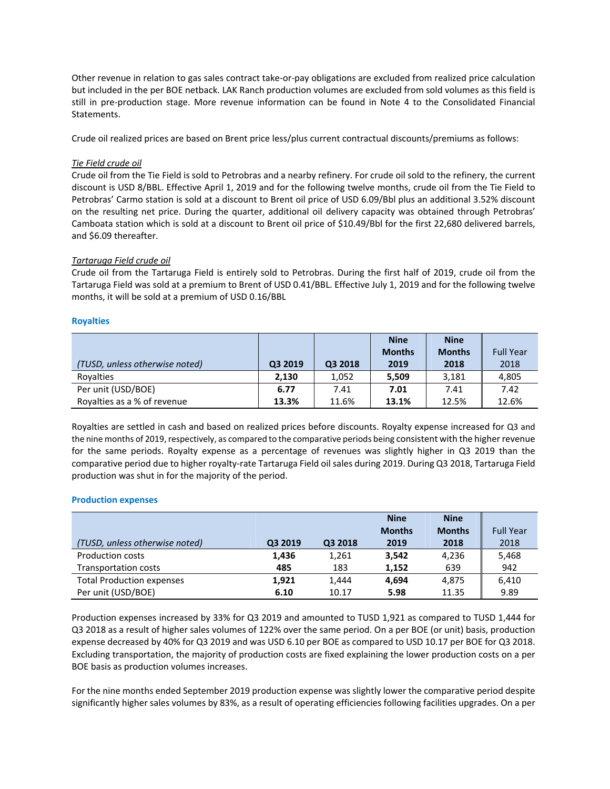Other revenue in relation to gas sales contract take‐or‐pay obligations are excluded from realized price calculation but included in the per BOE netback. LAK Ranch production volumes are excluded from sold volumes as this field is still in pre‐production stage. More revenue information can be found in Note 4 to the Consolidated Financial Statements.

Crude oil realized prices are based on Brent price less/plus current contractual discounts/premiums as follows:

### *Tie Field crude oil*

Crude oil from the Tie Field is sold to Petrobras and a nearby refinery. For crude oil sold to the refinery, the current discount is USD 8/BBL. Effective April 1, 2019 and for the following twelve months, crude oil from the Tie Field to Petrobras' Carmo station is sold at a discount to Brent oil price of USD 6.09/Bbl plus an additional 3.52% discount on the resulting net price. During the quarter, additional oil delivery capacity was obtained through Petrobras' Camboata station which is sold at a discount to Brent oil price of \$10.49/Bbl for the first 22,680 delivered barrels, and \$6.09 thereafter.

### *Tartaruga Field crude oil*

Crude oil from the Tartaruga Field is entirely sold to Petrobras. During the first half of 2019, crude oil from the Tartaruga Field was sold at a premium to Brent of USD 0.41/BBL. Effective July 1, 2019 and for the following twelve months, it will be sold at a premium of USD 0.16/BBL

### **Royalties**

|                                |         |         | <b>Nine</b>   | <b>Nine</b>   |                  |
|--------------------------------|---------|---------|---------------|---------------|------------------|
|                                |         |         | <b>Months</b> | <b>Months</b> | <b>Full Year</b> |
| (TUSD, unless otherwise noted) | Q3 2019 | Q3 2018 | 2019          | 2018          | 2018             |
| Rovalties                      | 2.130   | 1.052   | 5.509         | 3,181         | 4,805            |
| Per unit (USD/BOE)             | 6.77    | 7.41    | 7.01          | 7.41          | 7.42             |
| Royalties as a % of revenue    | 13.3%   | 11.6%   | 13.1%         | 12.5%         | 12.6%            |

Royalties are settled in cash and based on realized prices before discounts. Royalty expense increased for Q3 and the nine months of 2019, respectively, as compared to the comparative periods being consistent with the higher revenue for the same periods. Royalty expense as a percentage of revenues was slightly higher in Q3 2019 than the comparative period due to higher royalty‐rate Tartaruga Field oil sales during 2019. During Q3 2018, Tartaruga Field production was shut in for the majority of the period.

### **Production expenses**

|                                  |         |         | <b>Nine</b>   | <b>Nine</b>   |                  |
|----------------------------------|---------|---------|---------------|---------------|------------------|
|                                  |         |         | <b>Months</b> | <b>Months</b> | <b>Full Year</b> |
| (TUSD, unless otherwise noted)   | Q3 2019 | Q3 2018 | 2019          | 2018          | 2018             |
| <b>Production costs</b>          | 1,436   | 1,261   | 3,542         | 4,236         | 5,468            |
| Transportation costs             | 485     | 183     | 1,152         | 639           | 942              |
| <b>Total Production expenses</b> | 1.921   | 1,444   | 4,694         | 4,875         | 6,410            |
| Per unit (USD/BOE)               | 6.10    | 10.17   | 5.98          | 11.35         | 9.89             |

Production expenses increased by 33% for Q3 2019 and amounted to TUSD 1,921 as compared to TUSD 1,444 for Q3 2018 as a result of higher sales volumes of 122% over the same period. On a per BOE (or unit) basis, production expense decreased by 40% for Q3 2019 and was USD 6.10 per BOE as compared to USD 10.17 per BOE for Q3 2018. Excluding transportation, the majority of production costs are fixed explaining the lower production costs on a per BOE basis as production volumes increases.

For the nine months ended September 2019 production expense was slightly lower the comparative period despite significantly higher sales volumes by 83%, as a result of operating efficiencies following facilities upgrades. On a per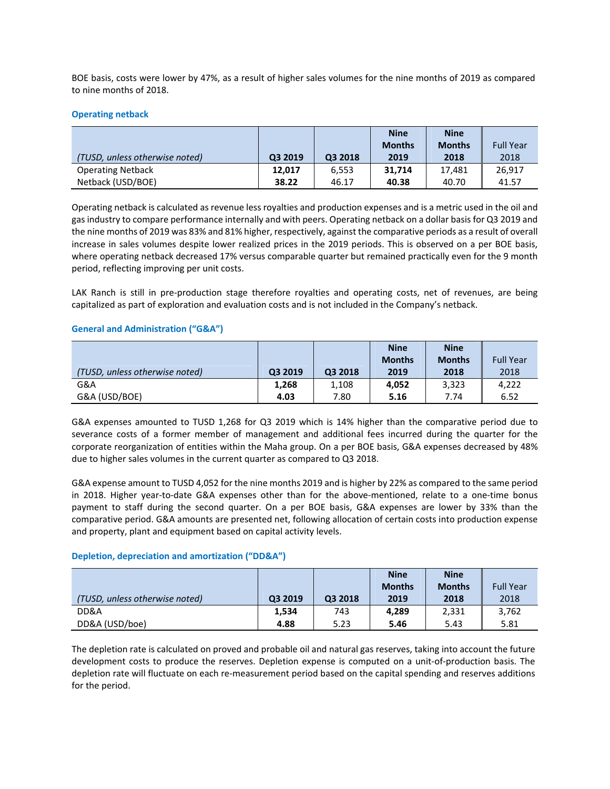BOE basis, costs were lower by 47%, as a result of higher sales volumes for the nine months of 2019 as compared to nine months of 2018.

### **Operating netback**

|                                |         |         | <b>Nine</b>   | <b>Nine</b>   |                  |
|--------------------------------|---------|---------|---------------|---------------|------------------|
|                                |         |         | <b>Months</b> | <b>Months</b> | <b>Full Year</b> |
| (TUSD, unless otherwise noted) | Q3 2019 | Q3 2018 | 2019          | 2018          | 2018             |
| <b>Operating Netback</b>       | 12.017  | 6.553   | 31.714        | 17.481        | 26.917           |
| Netback (USD/BOE)              | 38.22   | 46.17   | 40.38         | 40.70         | 41.57            |

Operating netback is calculated as revenue less royalties and production expenses and is a metric used in the oil and gas industry to compare performance internally and with peers. Operating netback on a dollar basis for Q3 2019 and the nine months of 2019 was 83% and 81% higher, respectively, against the comparative periods as a result of overall increase in sales volumes despite lower realized prices in the 2019 periods. This is observed on a per BOE basis, where operating netback decreased 17% versus comparable quarter but remained practically even for the 9 month period, reflecting improving per unit costs.

LAK Ranch is still in pre-production stage therefore royalties and operating costs, net of revenues, are being capitalized as part of exploration and evaluation costs and is not included in the Company's netback.

# **General and Administration ("G&A")**

|                                |         |         | <b>Nine</b>   | <b>Nine</b>   |                  |
|--------------------------------|---------|---------|---------------|---------------|------------------|
|                                |         |         | <b>Months</b> | <b>Months</b> | <b>Full Year</b> |
| (TUSD, unless otherwise noted) | Q3 2019 | Q3 2018 | 2019          | 2018          | 2018             |
| G&A                            | 1,268   | 1,108   | 4.052         | 3,323         | 4,222            |
| G&A (USD/BOE)                  | 4.03    | 7.80    | 5.16          | 7.74          | 6.52             |

G&A expenses amounted to TUSD 1,268 for Q3 2019 which is 14% higher than the comparative period due to severance costs of a former member of management and additional fees incurred during the quarter for the corporate reorganization of entities within the Maha group. On a per BOE basis, G&A expenses decreased by 48% due to higher sales volumes in the current quarter as compared to Q3 2018.

G&A expense amount to TUSD 4,052 for the nine months 2019 and is higher by 22% as compared to the same period in 2018. Higher year‐to‐date G&A expenses other than for the above‐mentioned, relate to a one‐time bonus payment to staff during the second quarter. On a per BOE basis, G&A expenses are lower by 33% than the comparative period. G&A amounts are presented net, following allocation of certain costs into production expense and property, plant and equipment based on capital activity levels.

### **Depletion, depreciation and amortization ("DD&A")**

|                                |         |         | <b>Nine</b>   | <b>Nine</b>   |                  |
|--------------------------------|---------|---------|---------------|---------------|------------------|
|                                |         |         | <b>Months</b> | <b>Months</b> | <b>Full Year</b> |
| (TUSD, unless otherwise noted) | Q3 2019 | Q3 2018 | 2019          | 2018          | 2018             |
| DD&A                           | 1.534   | 743     | 4.289         | 2,331         | 3.762            |
| DD&A (USD/boe)                 | 4.88    | 5.23    | 5.46          | 5.43          | 5.81             |

The depletion rate is calculated on proved and probable oil and natural gas reserves, taking into account the future development costs to produce the reserves. Depletion expense is computed on a unit-of-production basis. The depletion rate will fluctuate on each re-measurement period based on the capital spending and reserves additions for the period.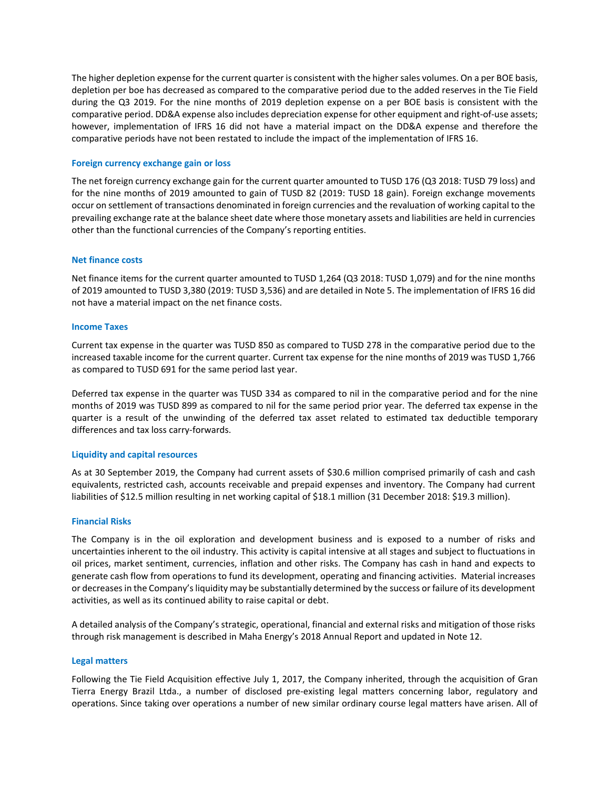The higher depletion expense for the current quarter is consistent with the higher sales volumes. On a per BOE basis, depletion per boe has decreased as compared to the comparative period due to the added reserves in the Tie Field during the Q3 2019. For the nine months of 2019 depletion expense on a per BOE basis is consistent with the comparative period. DD&A expense also includes depreciation expense for other equipment and right-of-use assets; however, implementation of IFRS 16 did not have a material impact on the DD&A expense and therefore the comparative periods have not been restated to include the impact of the implementation of IFRS 16.

### **Foreign currency exchange gain or loss**

The net foreign currency exchange gain for the current quarter amounted to TUSD 176 (Q3 2018: TUSD 79 loss) and for the nine months of 2019 amounted to gain of TUSD 82 (2019: TUSD 18 gain). Foreign exchange movements occur on settlement of transactions denominated in foreign currencies and the revaluation of working capital to the prevailing exchange rate at the balance sheet date where those monetary assets and liabilities are held in currencies other than the functional currencies of the Company's reporting entities.

### **Net finance costs**

Net finance items for the current quarter amounted to TUSD 1,264 (Q3 2018: TUSD 1,079) and for the nine months of 2019 amounted to TUSD 3,380 (2019: TUSD 3,536) and are detailed in Note 5. The implementation of IFRS 16 did not have a material impact on the net finance costs.

### **Income Taxes**

Current tax expense in the quarter was TUSD 850 as compared to TUSD 278 in the comparative period due to the increased taxable income for the current quarter. Current tax expense for the nine months of 2019 was TUSD 1,766 as compared to TUSD 691 for the same period last year.

Deferred tax expense in the quarter was TUSD 334 as compared to nil in the comparative period and for the nine months of 2019 was TUSD 899 as compared to nil for the same period prior year. The deferred tax expense in the quarter is a result of the unwinding of the deferred tax asset related to estimated tax deductible temporary differences and tax loss carry‐forwards.

### **Liquidity and capital resources**

As at 30 September 2019, the Company had current assets of \$30.6 million comprised primarily of cash and cash equivalents, restricted cash, accounts receivable and prepaid expenses and inventory. The Company had current liabilities of \$12.5 million resulting in net working capital of \$18.1 million (31 December 2018: \$19.3 million).

### **Financial Risks**

The Company is in the oil exploration and development business and is exposed to a number of risks and uncertainties inherent to the oil industry. This activity is capital intensive at all stages and subject to fluctuations in oil prices, market sentiment, currencies, inflation and other risks. The Company has cash in hand and expects to generate cash flow from operations to fund its development, operating and financing activities. Material increases or decreases in the Company's liquidity may be substantially determined by the success or failure of its development activities, as well as its continued ability to raise capital or debt.

A detailed analysis of the Company's strategic, operational, financial and external risks and mitigation of those risks through risk management is described in Maha Energy's 2018 Annual Report and updated in Note 12.

### **Legal matters**

Following the Tie Field Acquisition effective July 1, 2017, the Company inherited, through the acquisition of Gran Tierra Energy Brazil Ltda., a number of disclosed pre-existing legal matters concerning labor, regulatory and operations. Since taking over operations a number of new similar ordinary course legal matters have arisen. All of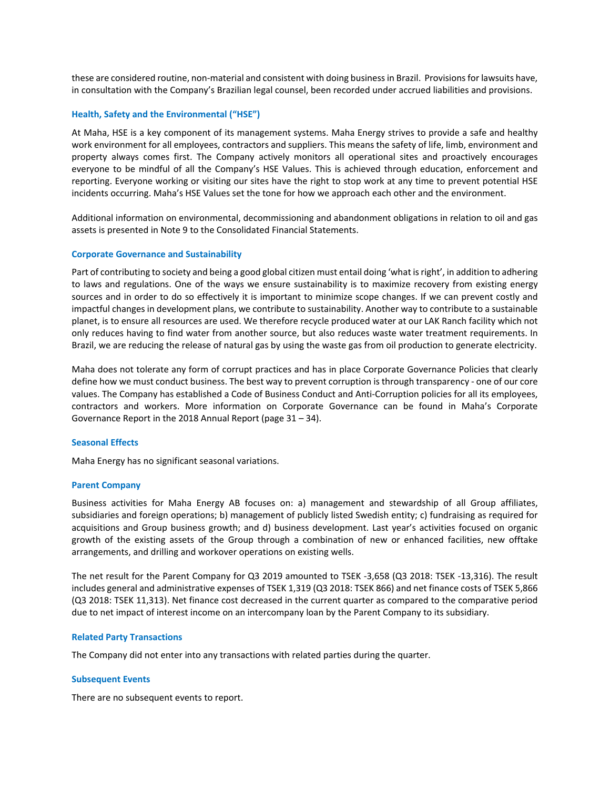these are considered routine, non‐material and consistent with doing business in Brazil. Provisions for lawsuits have, in consultation with the Company's Brazilian legal counsel, been recorded under accrued liabilities and provisions.

### **Health, Safety and the Environmental ("HSE")**

At Maha, HSE is a key component of its management systems. Maha Energy strives to provide a safe and healthy work environment for all employees, contractors and suppliers. This means the safety of life, limb, environment and property always comes first. The Company actively monitors all operational sites and proactively encourages everyone to be mindful of all the Company's HSE Values. This is achieved through education, enforcement and reporting. Everyone working or visiting our sites have the right to stop work at any time to prevent potential HSE incidents occurring. Maha's HSE Values set the tone for how we approach each other and the environment.

Additional information on environmental, decommissioning and abandonment obligations in relation to oil and gas assets is presented in Note 9 to the Consolidated Financial Statements.

### **Corporate Governance and Sustainability**

Part of contributing to society and being a good global citizen must entail doing 'what is right', in addition to adhering to laws and regulations. One of the ways we ensure sustainability is to maximize recovery from existing energy sources and in order to do so effectively it is important to minimize scope changes. If we can prevent costly and impactful changes in development plans, we contribute to sustainability. Another way to contribute to a sustainable planet, is to ensure all resources are used. We therefore recycle produced water at our LAK Ranch facility which not only reduces having to find water from another source, but also reduces waste water treatment requirements. In Brazil, we are reducing the release of natural gas by using the waste gas from oil production to generate electricity.

Maha does not tolerate any form of corrupt practices and has in place Corporate Governance Policies that clearly define how we must conduct business. The best way to prevent corruption is through transparency ‐ one of our core values. The Company has established a Code of Business Conduct and Anti‐Corruption policies for all its employees, contractors and workers. More information on Corporate Governance can be found in Maha's Corporate Governance Report in the 2018 Annual Report (page 31 – 34).

### **Seasonal Effects**

Maha Energy has no significant seasonal variations.

#### **Parent Company**

Business activities for Maha Energy AB focuses on: a) management and stewardship of all Group affiliates, subsidiaries and foreign operations; b) management of publicly listed Swedish entity; c) fundraising as required for acquisitions and Group business growth; and d) business development. Last year's activities focused on organic growth of the existing assets of the Group through a combination of new or enhanced facilities, new offtake arrangements, and drilling and workover operations on existing wells.

The net result for the Parent Company for Q3 2019 amounted to TSEK ‐3,658 (Q3 2018: TSEK ‐13,316). The result includes general and administrative expenses of TSEK 1,319 (Q3 2018: TSEK 866) and net finance costs of TSEK 5,866 (Q3 2018: TSEK 11,313). Net finance cost decreased in the current quarter as compared to the comparative period due to net impact of interest income on an intercompany loan by the Parent Company to its subsidiary.

#### **Related Party Transactions**

The Company did not enter into any transactions with related parties during the quarter.

#### **Subsequent Events**

There are no subsequent events to report.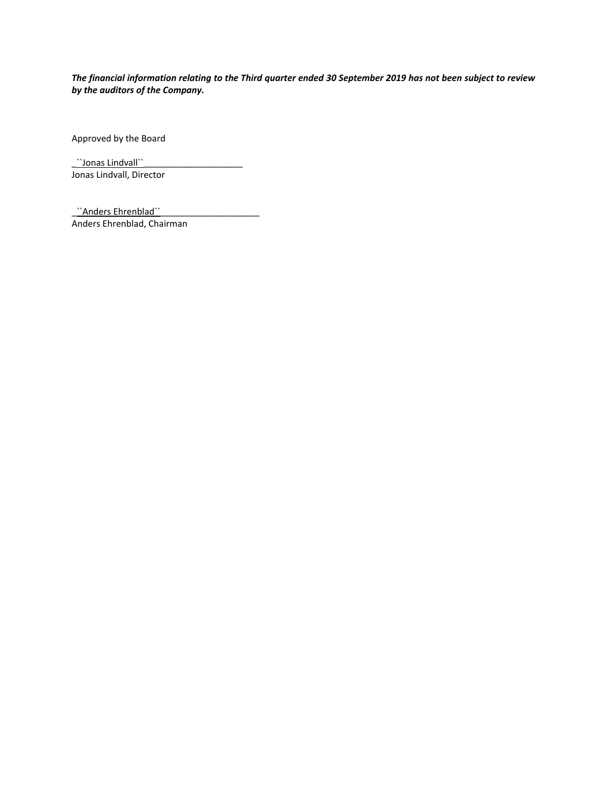*The financial information relating to the Third quarter ended 30 September 2019 has not been subject to review by the auditors of the Company.*

Approved by the Board

\_``Jonas Lindvall``\_\_\_\_\_\_\_\_\_\_\_\_\_\_\_\_\_\_\_\_ Jonas Lindvall, Director

\_``Anders Ehrenblad``\_\_\_\_\_\_\_\_\_\_\_\_\_\_\_\_\_\_\_\_ Anders Ehrenblad, Chairman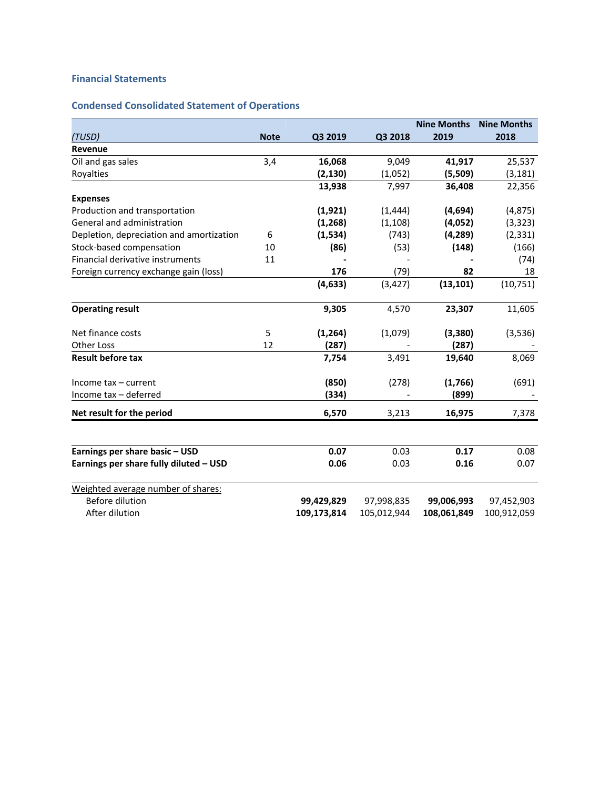# **Financial Statements**

# **Condensed Consolidated Statement of Operations**

|                                          |             |             |             | <b>Nine Months</b> | <b>Nine Months</b> |
|------------------------------------------|-------------|-------------|-------------|--------------------|--------------------|
| (TUSD)                                   | <b>Note</b> | Q3 2019     | Q3 2018     | 2019               | 2018               |
| <b>Revenue</b>                           |             |             |             |                    |                    |
| Oil and gas sales                        | 3,4         | 16,068      | 9,049       | 41,917             | 25,537             |
| Royalties                                |             | (2, 130)    | (1,052)     | (5,509)            | (3, 181)           |
|                                          |             | 13,938      | 7,997       | 36,408             | 22,356             |
| <b>Expenses</b>                          |             |             |             |                    |                    |
| Production and transportation            |             | (1,921)     | (1, 444)    | (4,694)            | (4,875)            |
| General and administration               |             | (1, 268)    | (1, 108)    | (4,052)            | (3, 323)           |
| Depletion, depreciation and amortization | 6           | (1,534)     | (743)       | (4, 289)           | (2, 331)           |
| Stock-based compensation                 | 10          | (86)        | (53)        | (148)              | (166)              |
| Financial derivative instruments         | 11          |             |             |                    | (74)               |
| Foreign currency exchange gain (loss)    |             | 176         | (79)        | 82                 | 18                 |
|                                          |             | (4, 633)    | (3, 427)    | (13, 101)          | (10, 751)          |
| <b>Operating result</b>                  |             | 9,305       | 4,570       | 23,307             | 11,605             |
| Net finance costs                        | 5           | (1,264)     | (1,079)     | (3,380)            | (3,536)            |
| Other Loss                               | 12          | (287)       |             | (287)              |                    |
| <b>Result before tax</b>                 |             | 7,754       | 3,491       | 19,640             | 8,069              |
| Income tax - current                     |             | (850)       | (278)       | (1,766)            | (691)              |
| Income tax - deferred                    |             | (334)       |             | (899)              |                    |
| Net result for the period                |             | 6,570       | 3,213       | 16,975             | 7,378              |
|                                          |             |             |             |                    |                    |
| Earnings per share basic - USD           |             | 0.07        | 0.03        | 0.17               | 0.08               |
| Earnings per share fully diluted - USD   |             | 0.06        | 0.03        | 0.16               | 0.07               |
| Weighted average number of shares:       |             |             |             |                    |                    |
| Before dilution                          |             | 99,429,829  | 97,998,835  | 99,006,993         | 97,452,903         |
| After dilution                           |             | 109,173,814 | 105,012,944 | 108,061,849        | 100,912,059        |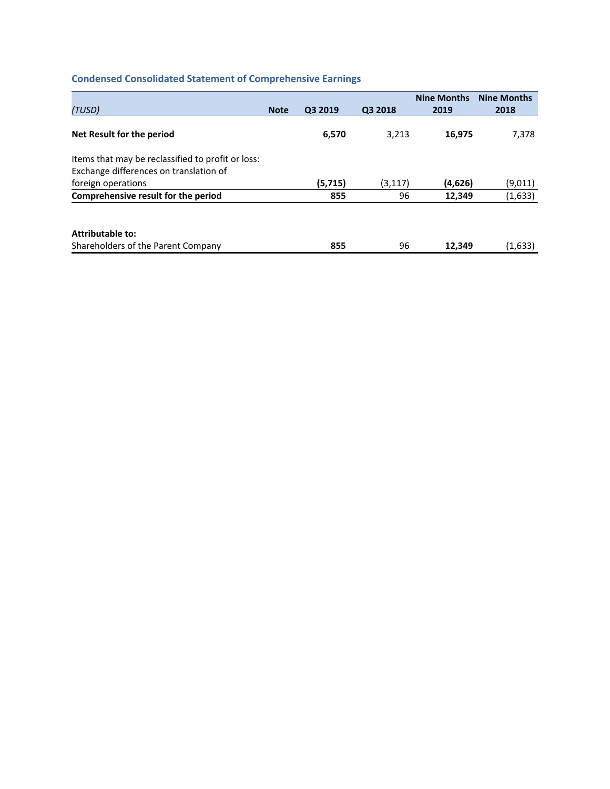# **Condensed Consolidated Statement of Comprehensive Earnings**

|                                                        |             |         |          | <b>Nine Months</b> | <b>Nine Months</b> |
|--------------------------------------------------------|-------------|---------|----------|--------------------|--------------------|
| (TUSD)                                                 | <b>Note</b> | Q3 2019 | Q3 2018  | 2019               | 2018               |
| Net Result for the period                              |             | 6,570   | 3,213    | 16,975             | 7.378              |
| Items that may be reclassified to profit or loss:      |             |         |          |                    |                    |
| Exchange differences on translation of                 |             |         |          |                    |                    |
| foreign operations                                     |             | (5,715) | (3, 117) | (4,626)            | (9,011)            |
| Comprehensive result for the period                    |             | 855     | 96       | 12,349             | (1,633)            |
| Attributable to:<br>Shareholders of the Parent Company |             | 855     | 96       | 12,349             | (1,633)            |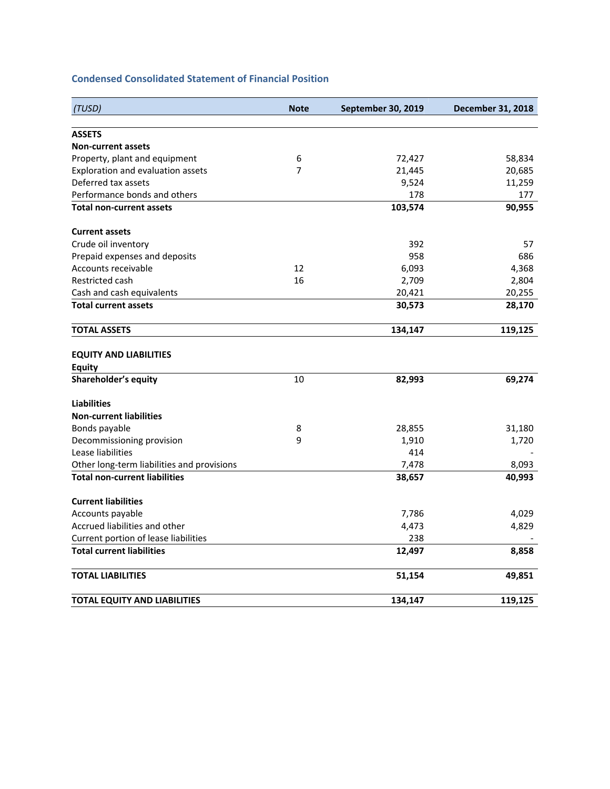# **Condensed Consolidated Statement of Financial Position**

| (TUSD)                                         | <b>Note</b> | September 30, 2019 | December 31, 2018 |
|------------------------------------------------|-------------|--------------------|-------------------|
| <b>ASSETS</b>                                  |             |                    |                   |
| <b>Non-current assets</b>                      |             |                    |                   |
| Property, plant and equipment                  | 6           | 72,427             | 58,834            |
| Exploration and evaluation assets              | 7           | 21,445             | 20,685            |
| Deferred tax assets                            |             | 9,524              | 11,259            |
| Performance bonds and others                   |             | 178                | 177               |
| <b>Total non-current assets</b>                |             | 103,574            | 90,955            |
| <b>Current assets</b>                          |             |                    |                   |
| Crude oil inventory                            |             | 392                | 57                |
| Prepaid expenses and deposits                  |             | 958                | 686               |
| Accounts receivable                            | 12          | 6,093              | 4,368             |
| Restricted cash                                | 16          | 2,709              | 2,804             |
| Cash and cash equivalents                      |             | 20,421             | 20,255            |
| <b>Total current assets</b>                    |             | 30,573             | 28,170            |
| <b>TOTAL ASSETS</b>                            |             | 134,147            | 119,125           |
| <b>EQUITY AND LIABILITIES</b><br><b>Equity</b> |             |                    |                   |
| Shareholder's equity                           | 10          | 82,993             | 69,274            |
| <b>Liabilities</b>                             |             |                    |                   |
| <b>Non-current liabilities</b>                 |             |                    |                   |
| Bonds payable                                  | 8           | 28,855             | 31,180            |
| Decommissioning provision                      | 9           | 1,910              | 1,720             |
| Lease liabilities                              |             | 414                |                   |
| Other long-term liabilities and provisions     |             | 7,478              | 8,093             |
| <b>Total non-current liabilities</b>           |             | 38,657             | 40,993            |
| <b>Current liabilities</b>                     |             |                    |                   |
| Accounts payable                               |             | 7,786              | 4,029             |
| Accrued liabilities and other                  |             | 4,473              | 4,829             |
| Current portion of lease liabilities           |             | 238                |                   |
| <b>Total current liabilities</b>               |             | 12,497             | 8,858             |
| <b>TOTAL LIABILITIES</b>                       |             | 51,154             | 49,851            |
| <b>TOTAL EQUITY AND LIABILITIES</b>            |             | 134,147            | 119,125           |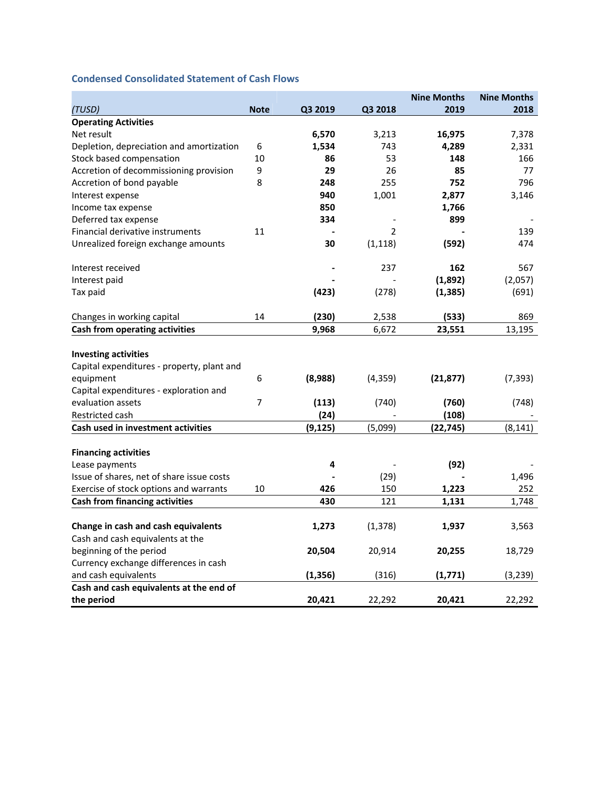# **Condensed Consolidated Statement of Cash Flows**

|                                                                                        |             |          |          | <b>Nine Months</b> | <b>Nine Months</b> |
|----------------------------------------------------------------------------------------|-------------|----------|----------|--------------------|--------------------|
| (TUSD)                                                                                 | <b>Note</b> | Q3 2019  | Q3 2018  | 2019               | 2018               |
| <b>Operating Activities</b>                                                            |             |          |          |                    |                    |
| Net result                                                                             |             | 6,570    | 3,213    | 16,975             | 7,378              |
| Depletion, depreciation and amortization                                               | 6           | 1,534    | 743      | 4,289              | 2,331              |
| Stock based compensation                                                               | 10          | 86       | 53       | 148                | 166                |
| Accretion of decommissioning provision                                                 | 9           | 29       | 26       | 85                 | 77                 |
| Accretion of bond payable                                                              | 8           | 248      | 255      | 752                | 796                |
| Interest expense                                                                       |             | 940      | 1,001    | 2,877              | 3,146              |
| Income tax expense                                                                     |             | 850      |          | 1,766              |                    |
| Deferred tax expense                                                                   |             | 334      |          | 899                |                    |
| Financial derivative instruments                                                       | 11          |          | 2        |                    | 139                |
| Unrealized foreign exchange amounts                                                    |             | 30       | (1, 118) | (592)              | 474                |
| Interest received                                                                      |             |          | 237      | 162                | 567                |
| Interest paid                                                                          |             |          |          | (1,892)            | (2,057)            |
| Tax paid                                                                               |             | (423)    | (278)    | (1, 385)           | (691)              |
| Changes in working capital                                                             | 14          | (230)    | 2,538    | (533)              | 869                |
| Cash from operating activities                                                         |             | 9,968    | 6,672    | 23,551             | 13,195             |
| <b>Investing activities</b><br>Capital expenditures - property, plant and<br>equipment | 6           | (8,988)  | (4, 359) | (21, 877)          | (7, 393)           |
| Capital expenditures - exploration and                                                 |             |          |          |                    |                    |
| evaluation assets                                                                      | 7           | (113)    | (740)    | (760)              | (748)              |
| Restricted cash                                                                        |             | (24)     |          | (108)              |                    |
| Cash used in investment activities                                                     |             | (9, 125) | (5,099)  | (22, 745)          | (8, 141)           |
| <b>Financing activities</b>                                                            |             |          |          |                    |                    |
| Lease payments                                                                         |             | 4        |          | (92)               |                    |
| Issue of shares, net of share issue costs                                              |             |          | (29)     |                    | 1,496              |
| Exercise of stock options and warrants                                                 | 10          | 426      | 150      | 1,223              | 252                |
| <b>Cash from financing activities</b>                                                  |             | 430      | 121      | 1,131              | 1,748              |
|                                                                                        |             |          |          |                    |                    |
| Change in cash and cash equivalents<br>Cash and cash equivalents at the                |             | 1,273    | (1, 378) | 1,937              | 3,563              |
| beginning of the period                                                                |             | 20,504   | 20,914   | 20,255             | 18,729             |
| Currency exchange differences in cash                                                  |             |          |          |                    |                    |
| and cash equivalents                                                                   |             | (1, 356) | (316)    | (1, 771)           | (3, 239)           |
| Cash and cash equivalents at the end of                                                |             |          |          |                    |                    |
| the period                                                                             |             | 20,421   | 22,292   | 20,421             | 22,292             |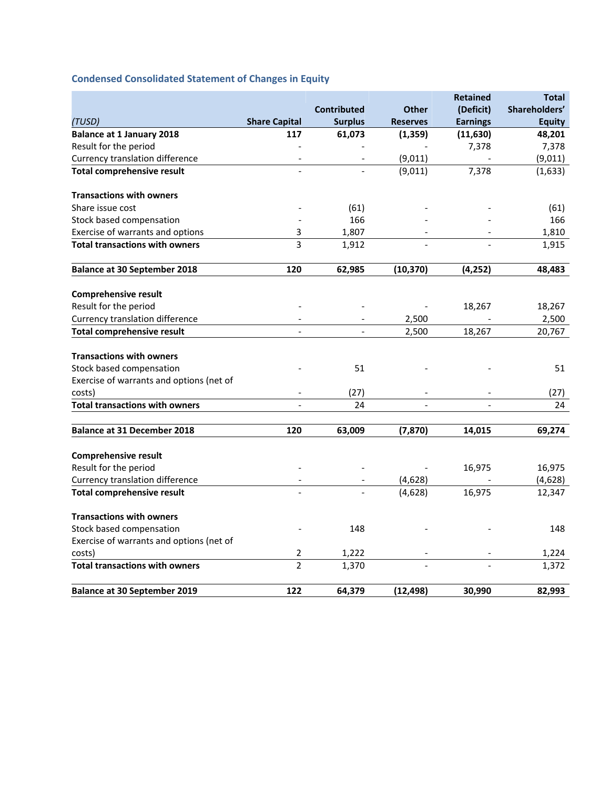# **Condensed Consolidated Statement of Changes in Equity**

|                                          |                      |                    |                          | <b>Retained</b> | <b>Total</b>  |
|------------------------------------------|----------------------|--------------------|--------------------------|-----------------|---------------|
|                                          |                      | <b>Contributed</b> | <b>Other</b>             | (Deficit)       | Shareholders' |
| (TUSD)                                   | <b>Share Capital</b> | <b>Surplus</b>     | <b>Reserves</b>          | <b>Earnings</b> | <b>Equity</b> |
| <b>Balance at 1 January 2018</b>         | 117                  | 61,073             | (1, 359)                 | (11, 630)       | 48,201        |
| Result for the period                    |                      |                    |                          | 7,378           | 7,378         |
| Currency translation difference          |                      |                    | (9,011)                  |                 | (9,011)       |
| <b>Total comprehensive result</b>        |                      |                    | (9,011)                  | 7,378           | (1,633)       |
| <b>Transactions with owners</b>          |                      |                    |                          |                 |               |
| Share issue cost                         |                      | (61)               |                          |                 | (61)          |
| Stock based compensation                 |                      | 166                |                          |                 | 166           |
| Exercise of warrants and options         | 3                    | 1,807              |                          |                 | 1,810         |
| <b>Total transactions with owners</b>    | $\overline{3}$       | 1,912              |                          |                 | 1,915         |
| <b>Balance at 30 September 2018</b>      | 120                  | 62,985             | (10, 370)                | (4, 252)        | 48,483        |
|                                          |                      |                    |                          |                 |               |
| <b>Comprehensive result</b>              |                      |                    |                          |                 |               |
| Result for the period                    |                      |                    |                          | 18,267          | 18,267        |
| Currency translation difference          |                      |                    | 2,500                    |                 | 2,500         |
| <b>Total comprehensive result</b>        | $\blacksquare$       | $\overline{a}$     | 2,500                    | 18,267          | 20,767        |
| <b>Transactions with owners</b>          |                      |                    |                          |                 |               |
| Stock based compensation                 |                      | 51                 |                          |                 | 51            |
| Exercise of warrants and options (net of |                      |                    |                          |                 |               |
| costs)                                   |                      | (27)               |                          |                 | (27)          |
| <b>Total transactions with owners</b>    | $\sim$               | 24                 | $\overline{a}$           |                 | 24            |
|                                          |                      |                    |                          |                 |               |
| <b>Balance at 31 December 2018</b>       | 120                  | 63,009             | (7, 870)                 | 14,015          | 69,274        |
| <b>Comprehensive result</b>              |                      |                    |                          |                 |               |
| Result for the period                    |                      |                    |                          | 16,975          | 16,975        |
| <b>Currency translation difference</b>   |                      |                    | (4,628)                  |                 | (4,628)       |
| <b>Total comprehensive result</b>        |                      |                    | (4,628)                  | 16,975          | 12,347        |
| <b>Transactions with owners</b>          |                      |                    |                          |                 |               |
| Stock based compensation                 |                      | 148                |                          |                 | 148           |
| Exercise of warrants and options (net of |                      |                    |                          |                 |               |
| costs)                                   | $\overline{2}$       | 1,222              | $\overline{\phantom{a}}$ |                 | 1,224         |
| <b>Total transactions with owners</b>    | $\overline{2}$       | 1,370              |                          |                 | 1,372         |
| <b>Balance at 30 September 2019</b>      | 122                  | 64,379             | (12, 498)                | 30,990          | 82,993        |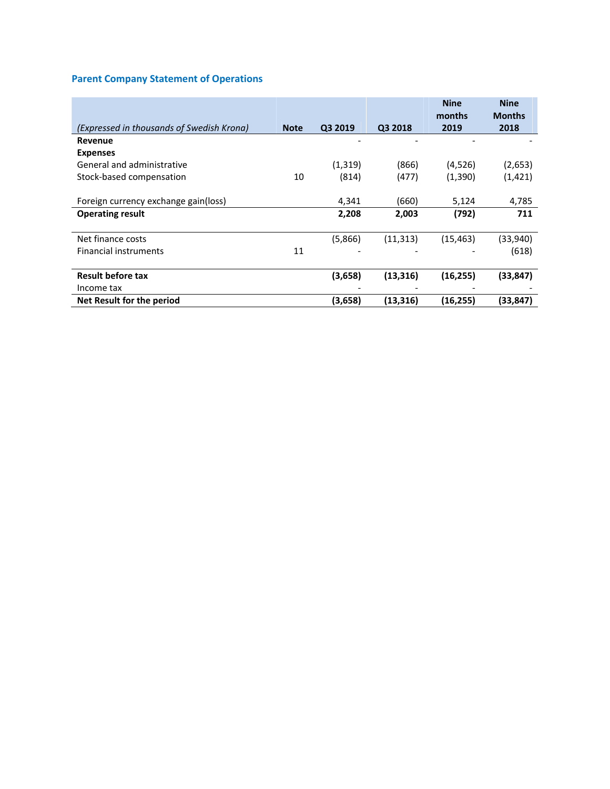# **Parent Company Statement of Operations**

|                                           |             |         |           | <b>Nine</b><br>months | <b>Nine</b><br><b>Months</b> |
|-------------------------------------------|-------------|---------|-----------|-----------------------|------------------------------|
| (Expressed in thousands of Swedish Krona) | <b>Note</b> | Q3 2019 | Q3 2018   | 2019                  | 2018                         |
| Revenue                                   |             |         |           |                       |                              |
| <b>Expenses</b>                           |             |         |           |                       |                              |
| General and administrative                |             | (1,319) | (866)     | (4,526)               | (2,653)                      |
| Stock-based compensation                  | 10          | (814)   | (477)     | (1,390)               | (1, 421)                     |
|                                           |             |         |           |                       |                              |
| Foreign currency exchange gain(loss)      |             | 4,341   | (660)     | 5,124                 | 4,785                        |
| <b>Operating result</b>                   |             | 2,208   | 2,003     | (792)                 | 711                          |
|                                           |             |         |           |                       |                              |
| Net finance costs                         |             | (5,866) | (11, 313) | (15, 463)             | (33,940)                     |
| <b>Financial instruments</b>              | 11          |         |           |                       | (618)                        |
|                                           |             |         |           |                       |                              |
| <b>Result before tax</b>                  |             | (3,658) | (13, 316) | (16, 255)             | (33, 847)                    |
| Income tax                                |             |         |           |                       |                              |
| Net Result for the period                 |             | (3,658) | (13, 316) | (16, 255)             | (33,847)                     |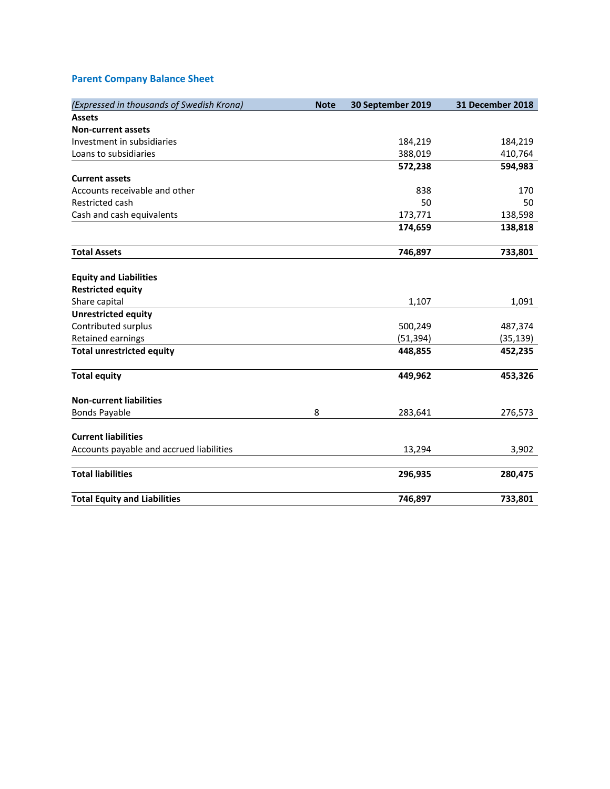# **Parent Company Balance Sheet**

| (Expressed in thousands of Swedish Krona) | <b>Note</b> | 30 September 2019 | 31 December 2018 |
|-------------------------------------------|-------------|-------------------|------------------|
| <b>Assets</b>                             |             |                   |                  |
| <b>Non-current assets</b>                 |             |                   |                  |
| Investment in subsidiaries                |             | 184,219           | 184,219          |
| Loans to subsidiaries                     |             | 388,019           | 410,764          |
|                                           |             | 572,238           | 594,983          |
| <b>Current assets</b>                     |             |                   |                  |
| Accounts receivable and other             |             | 838               | 170              |
| Restricted cash                           |             | 50                | 50               |
| Cash and cash equivalents                 |             | 173,771           | 138,598          |
|                                           |             | 174,659           | 138,818          |
| <b>Total Assets</b>                       |             | 746,897           | 733,801          |
| <b>Equity and Liabilities</b>             |             |                   |                  |
| <b>Restricted equity</b>                  |             |                   |                  |
| Share capital                             |             | 1,107             | 1,091            |
| <b>Unrestricted equity</b>                |             |                   |                  |
| Contributed surplus                       |             | 500,249           | 487,374          |
| Retained earnings                         |             | (51, 394)         | (35, 139)        |
| <b>Total unrestricted equity</b>          |             | 448,855           | 452,235          |
| <b>Total equity</b>                       |             | 449,962           | 453,326          |
| <b>Non-current liabilities</b>            |             |                   |                  |
| <b>Bonds Payable</b>                      | 8           | 283,641           | 276,573          |
| <b>Current liabilities</b>                |             |                   |                  |
| Accounts payable and accrued liabilities  |             | 13,294            | 3,902            |
| <b>Total liabilities</b>                  |             | 296,935           | 280,475          |
| <b>Total Equity and Liabilities</b>       |             | 746,897           | 733,801          |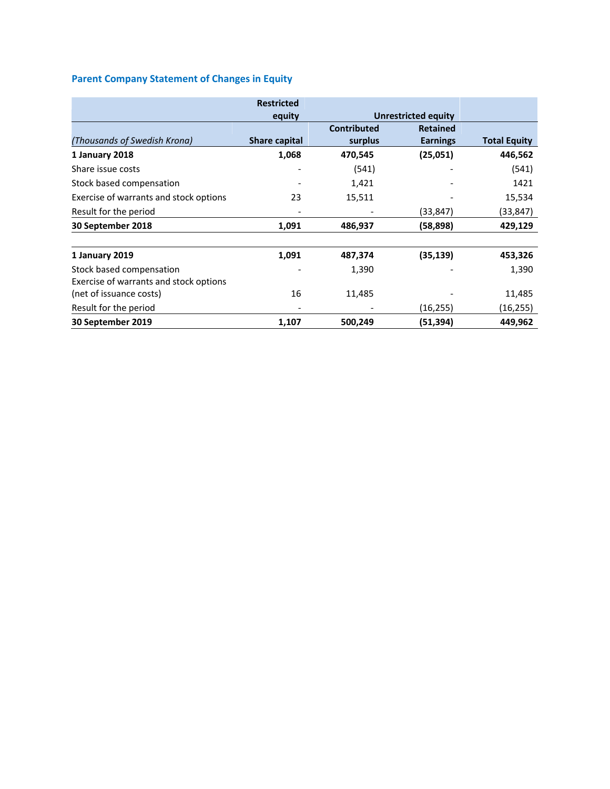# **Parent Company Statement of Changes in Equity**

|                                        | <b>Restricted</b>    |                            |                 |                     |
|----------------------------------------|----------------------|----------------------------|-----------------|---------------------|
|                                        | equity               | <b>Unrestricted equity</b> |                 |                     |
|                                        |                      | <b>Contributed</b>         | <b>Retained</b> |                     |
| (Thousands of Swedish Krona)           | <b>Share capital</b> | surplus                    | <b>Earnings</b> | <b>Total Equity</b> |
| 1 January 2018                         | 1,068                | 470,545                    | (25,051)        | 446,562             |
| Share issue costs                      |                      | (541)                      |                 | (541)               |
| Stock based compensation               |                      | 1,421                      |                 | 1421                |
| Exercise of warrants and stock options | 23                   | 15,511                     |                 | 15,534              |
| Result for the period                  |                      |                            | (33, 847)       | (33,847)            |
| 30 September 2018                      | 1,091                | 486,937                    | (58, 898)       | 429,129             |
| 1 January 2019                         | 1,091                | 487,374                    | (35, 139)       | 453,326             |
| Stock based compensation               |                      | 1,390                      |                 | 1,390               |
| Exercise of warrants and stock options |                      |                            |                 |                     |
| (net of issuance costs)                | 16                   | 11,485                     |                 | 11,485              |
| Result for the period                  |                      |                            | (16, 255)       | (16,255)            |
| 30 September 2019                      | 1,107                | 500,249                    | (51, 394)       | 449,962             |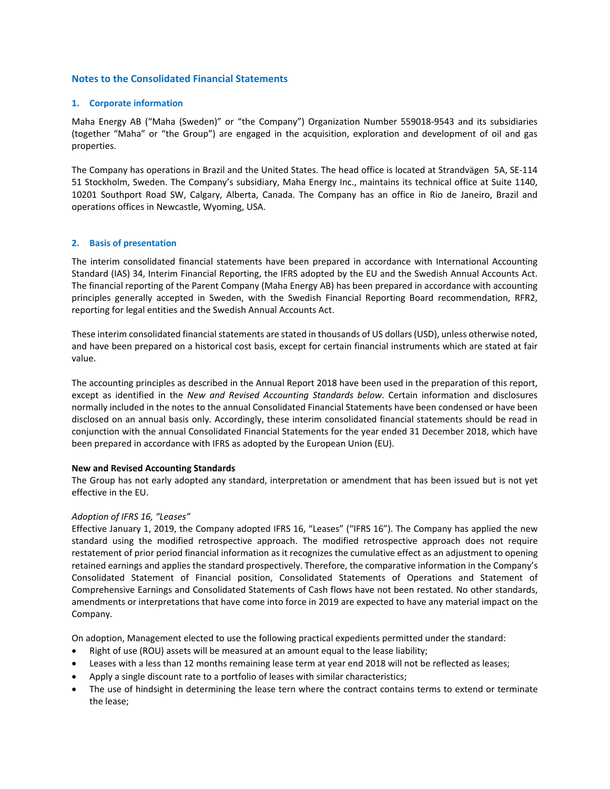### **Notes to the Consolidated Financial Statements**

### **1. Corporate information**

Maha Energy AB ("Maha (Sweden)" or "the Company") Organization Number 559018-9543 and its subsidiaries (together "Maha" or "the Group") are engaged in the acquisition, exploration and development of oil and gas properties.

The Company has operations in Brazil and the United States. The head office is located at Strandvägen 5A, SE‐114 51 Stockholm, Sweden. The Company's subsidiary, Maha Energy Inc., maintains its technical office at Suite 1140, 10201 Southport Road SW, Calgary, Alberta, Canada. The Company has an office in Rio de Janeiro, Brazil and operations offices in Newcastle, Wyoming, USA.

### **2. Basis of presentation**

The interim consolidated financial statements have been prepared in accordance with International Accounting Standard (IAS) 34, Interim Financial Reporting, the IFRS adopted by the EU and the Swedish Annual Accounts Act. The financial reporting of the Parent Company (Maha Energy AB) has been prepared in accordance with accounting principles generally accepted in Sweden, with the Swedish Financial Reporting Board recommendation, RFR2, reporting for legal entities and the Swedish Annual Accounts Act.

These interim consolidated financial statements are stated in thousands of US dollars (USD), unless otherwise noted, and have been prepared on a historical cost basis, except for certain financial instruments which are stated at fair value.

The accounting principles as described in the Annual Report 2018 have been used in the preparation of this report, except as identified in the *New and Revised Accounting Standards below*. Certain information and disclosures normally included in the notes to the annual Consolidated Financial Statements have been condensed or have been disclosed on an annual basis only. Accordingly, these interim consolidated financial statements should be read in conjunction with the annual Consolidated Financial Statements for the year ended 31 December 2018, which have been prepared in accordance with IFRS as adopted by the European Union (EU).

### **New and Revised Accounting Standards**

The Group has not early adopted any standard, interpretation or amendment that has been issued but is not yet effective in the EU.

### *Adoption of IFRS 16, "Leases"*

Effective January 1, 2019, the Company adopted IFRS 16, "Leases" ("IFRS 16"). The Company has applied the new standard using the modified retrospective approach. The modified retrospective approach does not require restatement of prior period financial information as it recognizes the cumulative effect as an adjustment to opening retained earnings and applies the standard prospectively. Therefore, the comparative information in the Company's Consolidated Statement of Financial position, Consolidated Statements of Operations and Statement of Comprehensive Earnings and Consolidated Statements of Cash flows have not been restated. No other standards, amendments or interpretations that have come into force in 2019 are expected to have any material impact on the Company.

On adoption, Management elected to use the following practical expedients permitted under the standard:

- Right of use (ROU) assets will be measured at an amount equal to the lease liability;
- Leases with a less than 12 months remaining lease term at year end 2018 will not be reflected as leases;
- Apply a single discount rate to a portfolio of leases with similar characteristics;
- The use of hindsight in determining the lease tern where the contract contains terms to extend or terminate the lease;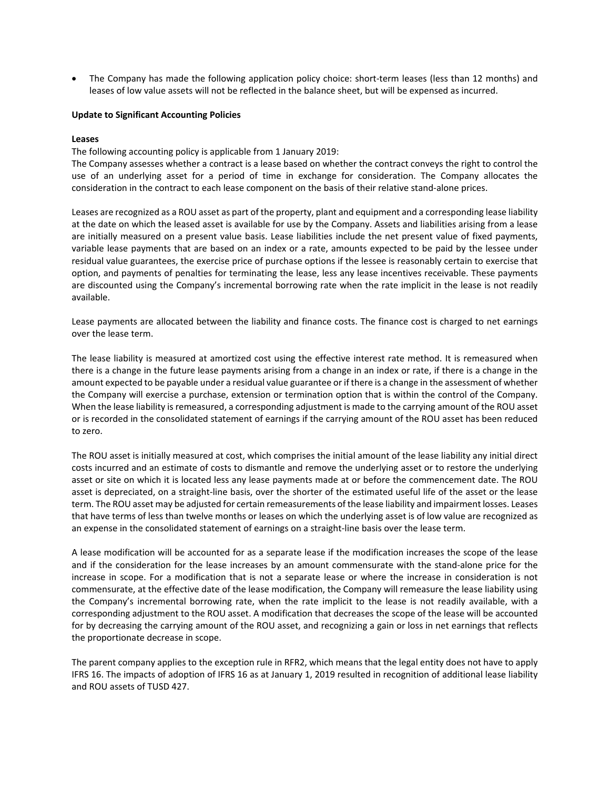The Company has made the following application policy choice: short-term leases (less than 12 months) and leases of low value assets will not be reflected in the balance sheet, but will be expensed as incurred.

### **Update to Significant Accounting Policies**

### **Leases**

The following accounting policy is applicable from 1 January 2019:

The Company assesses whether a contract is a lease based on whether the contract conveys the right to control the use of an underlying asset for a period of time in exchange for consideration. The Company allocates the consideration in the contract to each lease component on the basis of their relative stand‐alone prices.

Leases are recognized as a ROU asset as part of the property, plant and equipment and a corresponding lease liability at the date on which the leased asset is available for use by the Company. Assets and liabilities arising from a lease are initially measured on a present value basis. Lease liabilities include the net present value of fixed payments, variable lease payments that are based on an index or a rate, amounts expected to be paid by the lessee under residual value guarantees, the exercise price of purchase options if the lessee is reasonably certain to exercise that option, and payments of penalties for terminating the lease, less any lease incentives receivable. These payments are discounted using the Company's incremental borrowing rate when the rate implicit in the lease is not readily available.

Lease payments are allocated between the liability and finance costs. The finance cost is charged to net earnings over the lease term.

The lease liability is measured at amortized cost using the effective interest rate method. It is remeasured when there is a change in the future lease payments arising from a change in an index or rate, if there is a change in the amount expected to be payable under a residual value guarantee or if there is a change in the assessment of whether the Company will exercise a purchase, extension or termination option that is within the control of the Company. When the lease liability is remeasured, a corresponding adjustment is made to the carrying amount of the ROU asset or is recorded in the consolidated statement of earnings if the carrying amount of the ROU asset has been reduced to zero.

The ROU asset is initially measured at cost, which comprises the initial amount of the lease liability any initial direct costs incurred and an estimate of costs to dismantle and remove the underlying asset or to restore the underlying asset or site on which it is located less any lease payments made at or before the commencement date. The ROU asset is depreciated, on a straight‐line basis, over the shorter of the estimated useful life of the asset or the lease term. The ROU asset may be adjusted for certain remeasurements of the lease liability and impairment losses. Leases that have terms of less than twelve months or leases on which the underlying asset is of low value are recognized as an expense in the consolidated statement of earnings on a straight-line basis over the lease term.

A lease modification will be accounted for as a separate lease if the modification increases the scope of the lease and if the consideration for the lease increases by an amount commensurate with the stand-alone price for the increase in scope. For a modification that is not a separate lease or where the increase in consideration is not commensurate, at the effective date of the lease modification, the Company will remeasure the lease liability using the Company's incremental borrowing rate, when the rate implicit to the lease is not readily available, with a corresponding adjustment to the ROU asset. A modification that decreases the scope of the lease will be accounted for by decreasing the carrying amount of the ROU asset, and recognizing a gain or loss in net earnings that reflects the proportionate decrease in scope.

The parent company applies to the exception rule in RFR2, which means that the legal entity does not have to apply IFRS 16. The impacts of adoption of IFRS 16 as at January 1, 2019 resulted in recognition of additional lease liability and ROU assets of TUSD 427.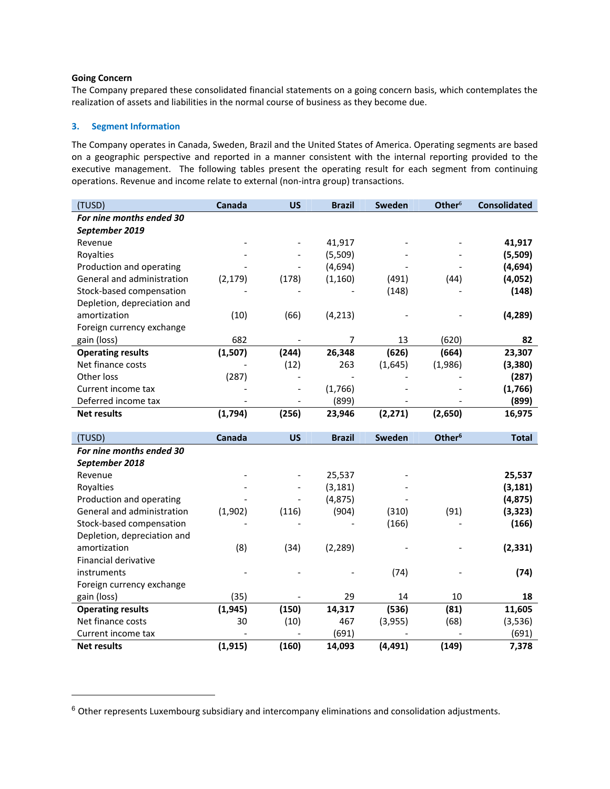### **Going Concern**

 $\overline{a}$ 

The Company prepared these consolidated financial statements on a going concern basis, which contemplates the realization of assets and liabilities in the normal course of business as they become due.

# **3. Segment Information**

The Company operates in Canada, Sweden, Brazil and the United States of America. Operating segments are based on a geographic perspective and reported in a manner consistent with the internal reporting provided to the executive management. The following tables present the operating result for each segment from continuing operations. Revenue and income relate to external (non‐intra group) transactions.

| (TUSD)                      | Canada   | <b>US</b> | <b>Brazil</b> | Sweden   | Other <sup>6</sup> | <b>Consolidated</b> |
|-----------------------------|----------|-----------|---------------|----------|--------------------|---------------------|
| For nine months ended 30    |          |           |               |          |                    |                     |
| September 2019              |          |           |               |          |                    |                     |
| Revenue                     |          |           | 41,917        |          |                    | 41,917              |
| Royalties                   |          |           | (5,509)       |          |                    | (5,509)             |
| Production and operating    |          |           | (4,694)       |          |                    | (4, 694)            |
| General and administration  | (2, 179) | (178)     | (1, 160)      | (491)    | (44)               | (4,052)             |
| Stock-based compensation    |          |           |               | (148)    |                    | (148)               |
| Depletion, depreciation and |          |           |               |          |                    |                     |
| amortization                | (10)     | (66)      | (4, 213)      |          |                    | (4, 289)            |
| Foreign currency exchange   |          |           |               |          |                    |                     |
| gain (loss)                 | 682      |           | 7             | 13       | (620)              | 82                  |
| <b>Operating results</b>    | (1,507)  | (244)     | 26,348        | (626)    | (664)              | 23,307              |
| Net finance costs           |          | (12)      | 263           | (1,645)  | (1,986)            | (3, 380)            |
| Other loss                  | (287)    |           |               |          |                    | (287)               |
| Current income tax          |          |           | (1,766)       |          |                    | (1,766)             |
| Deferred income tax         |          |           | (899)         |          |                    | (899)               |
| <b>Net results</b>          | (1,794)  | (256)     | 23,946        | (2, 271) | (2,650)            | 16,975              |
|                             |          |           |               |          |                    |                     |
| (TUSD)                      | Canada   | <b>US</b> | <b>Brazil</b> | Sweden   | Other <sup>6</sup> | <b>Total</b>        |
| For nine months ended 30    |          |           |               |          |                    |                     |
| September 2018              |          |           |               |          |                    |                     |
| Revenue                     |          |           | 25,537        |          |                    | 25,537              |
| Royalties                   |          |           | (3, 181)      |          |                    | (3, 181)            |
| Production and operating    |          |           | (4,875)       |          |                    | (4,875)             |
| General and administration  | (1,902)  | (116)     | (904)         | (310)    | (91)               | (3, 323)            |
| Stock-based compensation    |          |           |               | (166)    |                    | (166)               |
| Depletion, depreciation and |          |           |               |          |                    |                     |
| amortization                | (8)      | (34)      | (2, 289)      |          |                    | (2, 331)            |
| Financial derivative        |          |           |               |          |                    |                     |
| instruments                 |          |           |               | (74)     |                    | (74)                |
| Foreign currency exchange   |          |           |               |          |                    |                     |
| gain (loss)                 | (35)     |           | 29            | 14       | 10                 | 18                  |
| <b>Operating results</b>    | (1,945)  | (150)     | 14,317        | (536)    | (81)               | 11,605              |
| Net finance costs           | 30       | (10)      | 467           | (3,955)  | (68)               | (3,536)             |
| Current income tax          |          |           | (691)         |          |                    | (691)               |
| <b>Net results</b>          | (1, 915) | (160)     | 14,093        | (4, 491) | (149)              | 7,378               |

<sup>&</sup>lt;sup>6</sup> Other represents Luxembourg subsidiary and intercompany eliminations and consolidation adjustments.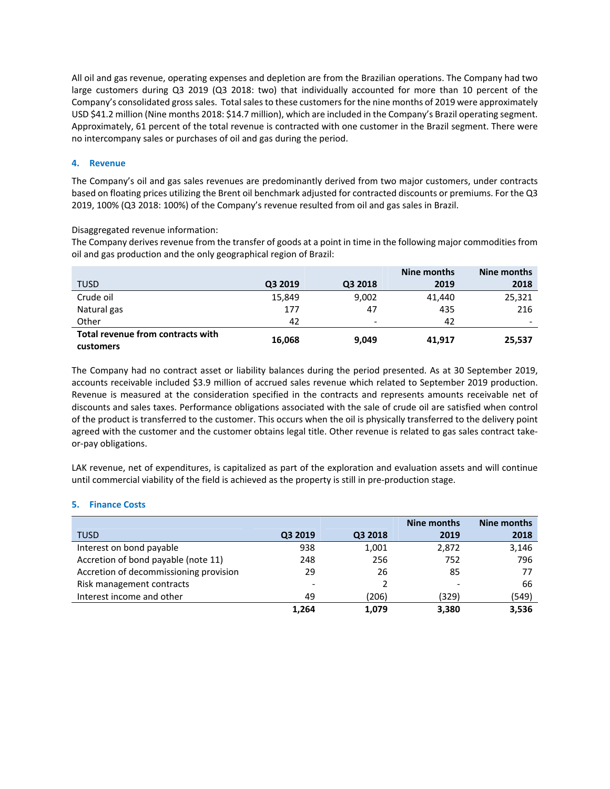All oil and gas revenue, operating expenses and depletion are from the Brazilian operations. The Company had two large customers during Q3 2019 (Q3 2018: two) that individually accounted for more than 10 percent of the Company's consolidated gross sales. Total sales to these customers for the nine months of 2019 were approximately USD \$41.2 million (Nine months 2018: \$14.7 million), which are included in the Company's Brazil operating segment. Approximately, 61 percent of the total revenue is contracted with one customer in the Brazil segment. There were no intercompany sales or purchases of oil and gas during the period.

# **4. Revenue**

The Company's oil and gas sales revenues are predominantly derived from two major customers, under contracts based on floating prices utilizing the Brent oil benchmark adjusted for contracted discounts or premiums. For the Q3 2019, 100% (Q3 2018: 100%) of the Company's revenue resulted from oil and gas sales in Brazil.

# Disaggregated revenue information:

The Company derives revenue from the transfer of goods at a point in time in the following major commodities from oil and gas production and the only geographical region of Brazil:

|                                   |         |                          | Nine months | Nine months              |
|-----------------------------------|---------|--------------------------|-------------|--------------------------|
| <b>TUSD</b>                       | Q3 2019 | Q3 2018                  | 2019        | 2018                     |
| Crude oil                         | 15,849  | 9,002                    | 41.440      | 25,321                   |
| Natural gas                       | 177     | 47                       | 435         | 216                      |
| Other                             | 42      | $\overline{\phantom{a}}$ | 42          | $\overline{\phantom{0}}$ |
| Total revenue from contracts with | 16,068  | 9.049                    | 41.917      | 25,537                   |
| customers                         |         |                          |             |                          |

The Company had no contract asset or liability balances during the period presented. As at 30 September 2019, accounts receivable included \$3.9 million of accrued sales revenue which related to September 2019 production. Revenue is measured at the consideration specified in the contracts and represents amounts receivable net of discounts and sales taxes. Performance obligations associated with the sale of crude oil are satisfied when control of the product is transferred to the customer. This occurs when the oil is physically transferred to the delivery point agreed with the customer and the customer obtains legal title. Other revenue is related to gas sales contract take‐ or‐pay obligations.

LAK revenue, net of expenditures, is capitalized as part of the exploration and evaluation assets and will continue until commercial viability of the field is achieved as the property is still in pre‐production stage.

# **5. Finance Costs**

|                                        |         |         | Nine months | Nine months |
|----------------------------------------|---------|---------|-------------|-------------|
| <b>TUSD</b>                            | Q3 2019 | Q3 2018 | 2019        | 2018        |
| Interest on bond payable               | 938     | 1,001   | 2,872       | 3,146       |
| Accretion of bond payable (note 11)    | 248     | 256     | 752         | 796         |
| Accretion of decommissioning provision | 29      | 26      | 85          | 77          |
| Risk management contracts              |         |         |             | 66          |
| Interest income and other              | 49      | (206)   | (329)       | (549)       |
|                                        | 1,264   | 1,079   | 3,380       | 3,536       |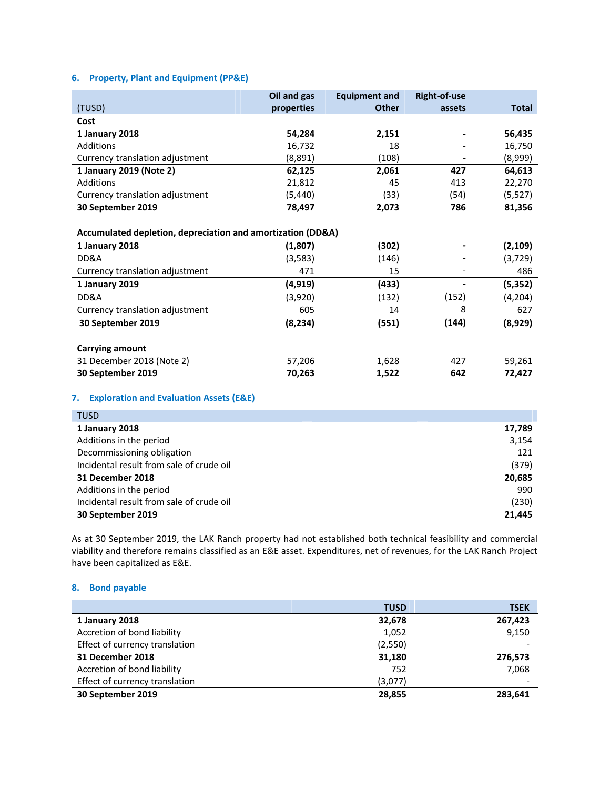# **6. Property, Plant and Equipment (PP&E)**

|                                                             | Oil and gas | <b>Equipment and</b> | <b>Right-of-use</b> |              |
|-------------------------------------------------------------|-------------|----------------------|---------------------|--------------|
| (TUSD)                                                      | properties  | <b>Other</b>         | assets              | <b>Total</b> |
| Cost                                                        |             |                      |                     |              |
| 1 January 2018                                              | 54,284      | 2,151                |                     | 56,435       |
| Additions                                                   | 16,732      | 18                   |                     | 16,750       |
| Currency translation adjustment                             | (8,891)     | (108)                |                     | (8,999)      |
| 1 January 2019 (Note 2)                                     | 62,125      | 2,061                | 427                 | 64,613       |
| Additions                                                   | 21,812      | 45                   | 413                 | 22,270       |
| Currency translation adjustment                             | (5,440)     | (33)                 | (54)                | (5, 527)     |
| 30 September 2019                                           | 78,497      | 2,073                | 786                 | 81,356       |
|                                                             |             |                      |                     |              |
| Accumulated depletion, depreciation and amortization (DD&A) |             |                      |                     |              |
| 1 January 2018                                              | (1,807)     | (302)                |                     | (2, 109)     |
| DD&A                                                        | (3,583)     | (146)                |                     | (3, 729)     |
| Currency translation adjustment                             | 471         | 15                   |                     | 486          |
| 1 January 2019                                              | (4, 919)    | (433)                |                     | (5, 352)     |
| DD&A                                                        | (3,920)     | (132)                | (152)               | (4, 204)     |
| Currency translation adjustment                             | 605         | 14                   | 8                   | 627          |
| 30 September 2019                                           | (8, 234)    | (551)                | (144)               | (8,929)      |
|                                                             |             |                      |                     |              |
| <b>Carrying amount</b>                                      |             |                      |                     |              |
| 31 December 2018 (Note 2)                                   | 57,206      | 1,628                | 427                 | 59,261       |
| 30 September 2019                                           | 70,263      | 1,522                | 642                 | 72,427       |
|                                                             |             |                      |                     |              |
| <b>Exploration and Evaluation Assets (E&amp;E)</b><br>7.    |             |                      |                     |              |

| <b>TUSD</b>                              |        |
|------------------------------------------|--------|
| 1 January 2018                           | 17,789 |
| Additions in the period                  | 3,154  |
| Decommissioning obligation               | 121    |
| Incidental result from sale of crude oil | (379)  |
| 31 December 2018                         | 20,685 |
| Additions in the period                  | 990    |
| Incidental result from sale of crude oil | (230)  |
| 30 September 2019                        | 21.445 |

As at 30 September 2019, the LAK Ranch property had not established both technical feasibility and commercial viability and therefore remains classified as an E&E asset. Expenditures, net of revenues, for the LAK Ranch Project have been capitalized as E&E.

# **8. Bond payable**

|                                | <b>TUSD</b> | <b>TSEK</b> |
|--------------------------------|-------------|-------------|
| 1 January 2018                 | 32,678      | 267,423     |
| Accretion of bond liability    | 1,052       | 9,150       |
| Effect of currency translation | (2,550)     |             |
| 31 December 2018               | 31,180      | 276,573     |
| Accretion of bond liability    | 752         | 7.068       |
| Effect of currency translation | (3,077)     |             |
| 30 September 2019              | 28,855      | 283.641     |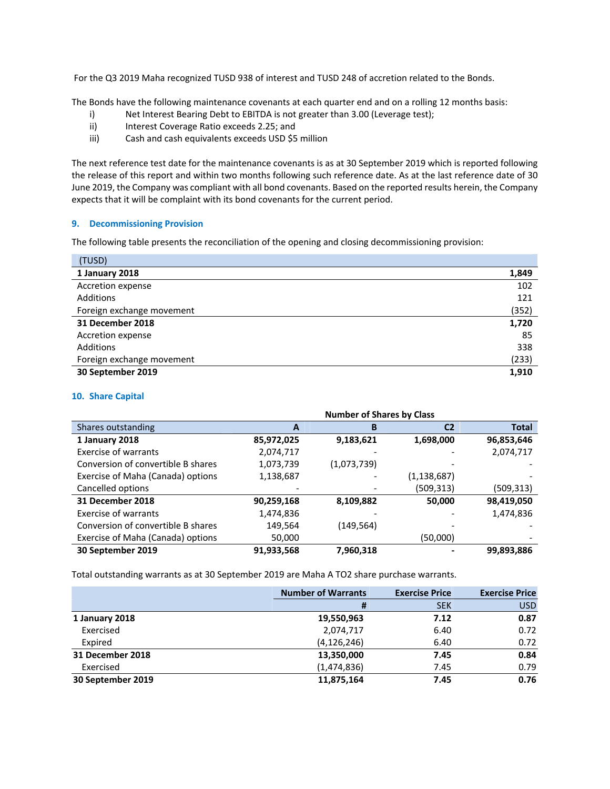For the Q3 2019 Maha recognized TUSD 938 of interest and TUSD 248 of accretion related to the Bonds.

The Bonds have the following maintenance covenants at each quarter end and on a rolling 12 months basis:

- i) Net Interest Bearing Debt to EBITDA is not greater than 3.00 (Leverage test);
- ii) Interest Coverage Ratio exceeds 2.25; and
- iii) Cash and cash equivalents exceeds USD \$5 million

The next reference test date for the maintenance covenants is as at 30 September 2019 which is reported following the release of this report and within two months following such reference date. As at the last reference date of 30 June 2019, the Company was compliant with all bond covenants. Based on the reported results herein, the Company expects that it will be complaint with its bond covenants for the current period.

# **9. Decommissioning Provision**

The following table presents the reconciliation of the opening and closing decommissioning provision:

| (TUSD)                    |       |
|---------------------------|-------|
| 1 January 2018            | 1,849 |
| Accretion expense         | 102   |
| Additions                 | 121   |
| Foreign exchange movement | (352) |
| 31 December 2018          | 1,720 |
| Accretion expense         | 85    |
| Additions                 | 338   |
| Foreign exchange movement | (233) |
| 30 September 2019         | 1,910 |

# **10. Share Capital**

|                                    | <b>Number of Shares by Class</b> |             |                |              |  |
|------------------------------------|----------------------------------|-------------|----------------|--------------|--|
| Shares outstanding                 | A                                | в           | C <sub>2</sub> | <b>Total</b> |  |
| 1 January 2018                     | 85,972,025                       | 9,183,621   | 1,698,000      | 96,853,646   |  |
| <b>Exercise of warrants</b>        | 2,074,717                        |             |                | 2,074,717    |  |
| Conversion of convertible B shares | 1,073,739                        | (1,073,739) |                |              |  |
| Exercise of Maha (Canada) options  | 1,138,687                        |             | (1, 138, 687)  |              |  |
| Cancelled options                  |                                  |             | (509, 313)     | (509, 313)   |  |
| 31 December 2018                   | 90,259,168                       | 8,109,882   | 50,000         | 98,419,050   |  |
| <b>Exercise of warrants</b>        | 1,474,836                        |             |                | 1,474,836    |  |
| Conversion of convertible B shares | 149,564                          | (149, 564)  |                |              |  |
| Exercise of Maha (Canada) options  | 50,000                           |             | (50,000)       |              |  |
| 30 September 2019                  | 91,933,568                       | 7,960,318   |                | 99,893,886   |  |

Total outstanding warrants as at 30 September 2019 are Maha A TO2 share purchase warrants.

|                   | <b>Number of Warrants</b> | <b>Exercise Price</b> | <b>Exercise Price</b> |
|-------------------|---------------------------|-----------------------|-----------------------|
|                   | #                         | <b>SEK</b>            | <b>USD</b>            |
| 1 January 2018    | 19,550,963                | 7.12                  | 0.87                  |
| Exercised         | 2,074,717                 | 6.40                  | 0.72                  |
| Expired           | (4, 126, 246)             | 6.40                  | 0.72                  |
| 31 December 2018  | 13,350,000                | 7.45                  | 0.84                  |
| Exercised         | (1,474,836)               | 7.45                  | 0.79                  |
| 30 September 2019 | 11,875,164                | 7.45                  | 0.76                  |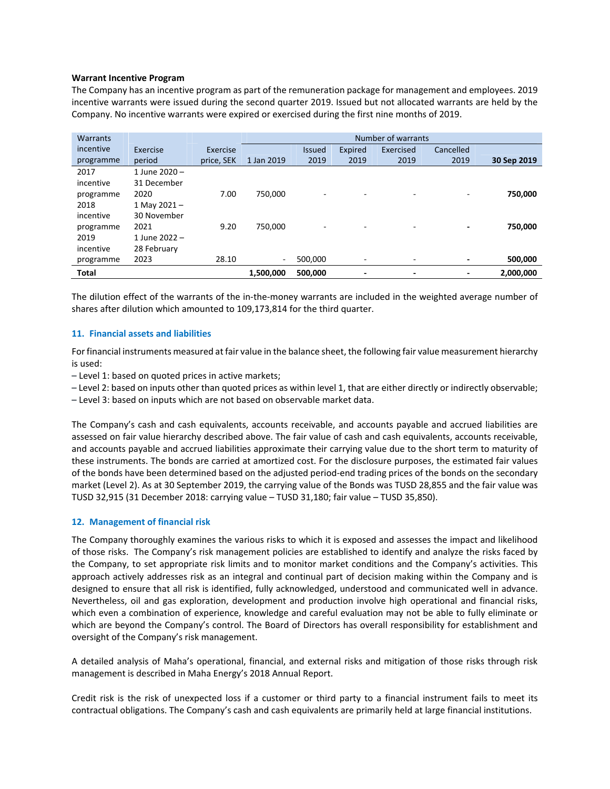### **Warrant Incentive Program**

The Company has an incentive program as part of the remuneration package for management and employees. 2019 incentive warrants were issued during the second quarter 2019. Issued but not allocated warrants are held by the Company. No incentive warrants were expired or exercised during the first nine months of 2019.

| <b>Warrants</b> |                |            | Number of warrants |               |                          |                              |                          |             |
|-----------------|----------------|------------|--------------------|---------------|--------------------------|------------------------------|--------------------------|-------------|
| incentive       | Exercise       | Exercise   |                    | <b>Issued</b> | Expired                  | Exercised                    | Cancelled                |             |
| programme       | period         | price, SEK | 1 Jan 2019         | 2019          | 2019                     | 2019                         | 2019                     | 30 Sep 2019 |
| 2017            | 1 June 2020 -  |            |                    |               |                          |                              |                          |             |
| incentive       | 31 December    |            |                    |               |                          |                              |                          |             |
| programme       | 2020           | 7.00       | 750,000            | ٠             | -                        | ٠                            | $\overline{\phantom{0}}$ | 750,000     |
| 2018            | 1 May 2021 $-$ |            |                    |               |                          |                              |                          |             |
| incentive       | 30 November    |            |                    |               |                          |                              |                          |             |
| programme       | 2021           | 9.20       | 750.000            |               |                          | ٠                            |                          | 750,000     |
| 2019            | 1 June 2022 -  |            |                    |               |                          |                              |                          |             |
| incentive       | 28 February    |            |                    |               |                          |                              |                          |             |
| programme       | 2023           | 28.10      | ۰                  | 500.000       | $\overline{\phantom{a}}$ | $\qquad \qquad \blacksquare$ | $\overline{\phantom{0}}$ | 500,000     |
| <b>Total</b>    |                |            | 1,500,000          | 500,000       |                          | ٠                            |                          | 2,000,000   |

The dilution effect of the warrants of the in-the-money warrants are included in the weighted average number of shares after dilution which amounted to 109,173,814 for the third quarter.

### **11. Financial assets and liabilities**

For financial instruments measured at fair value in the balance sheet, the following fair value measurement hierarchy is used:

– Level 1: based on quoted prices in active markets;

– Level 2: based on inputs other than quoted prices as within level 1, that are either directly or indirectly observable;

– Level 3: based on inputs which are not based on observable market data.

The Company's cash and cash equivalents, accounts receivable, and accounts payable and accrued liabilities are assessed on fair value hierarchy described above. The fair value of cash and cash equivalents, accounts receivable, and accounts payable and accrued liabilities approximate their carrying value due to the short term to maturity of these instruments. The bonds are carried at amortized cost. For the disclosure purposes, the estimated fair values of the bonds have been determined based on the adjusted period‐end trading prices of the bonds on the secondary market (Level 2). As at 30 September 2019, the carrying value of the Bonds was TUSD 28,855 and the fair value was TUSD 32,915 (31 December 2018: carrying value – TUSD 31,180; fair value – TUSD 35,850).

### **12. Management of financial risk**

The Company thoroughly examines the various risks to which it is exposed and assesses the impact and likelihood of those risks. The Company's risk management policies are established to identify and analyze the risks faced by the Company, to set appropriate risk limits and to monitor market conditions and the Company's activities. This approach actively addresses risk as an integral and continual part of decision making within the Company and is designed to ensure that all risk is identified, fully acknowledged, understood and communicated well in advance. Nevertheless, oil and gas exploration, development and production involve high operational and financial risks, which even a combination of experience, knowledge and careful evaluation may not be able to fully eliminate or which are beyond the Company's control. The Board of Directors has overall responsibility for establishment and oversight of the Company's risk management.

A detailed analysis of Maha's operational, financial, and external risks and mitigation of those risks through risk management is described in Maha Energy's 2018 Annual Report.

Credit risk is the risk of unexpected loss if a customer or third party to a financial instrument fails to meet its contractual obligations. The Company's cash and cash equivalents are primarily held at large financial institutions.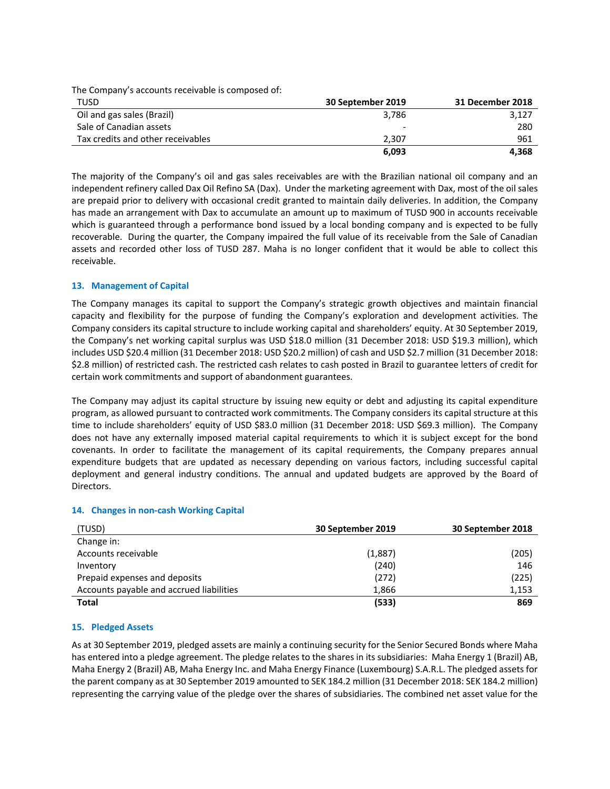The Company's accounts receivable is composed of:

| TUSD                              | 30 September 2019        | 31 December 2018 |
|-----------------------------------|--------------------------|------------------|
| Oil and gas sales (Brazil)        | 3.786                    | 3,127            |
| Sale of Canadian assets           | $\overline{\phantom{a}}$ | 280              |
| Tax credits and other receivables | 2.307                    | 961              |
|                                   | 6.093                    | 4.368            |

The majority of the Company's oil and gas sales receivables are with the Brazilian national oil company and an independent refinery called Dax Oil Refino SA (Dax). Under the marketing agreement with Dax, most of the oil sales are prepaid prior to delivery with occasional credit granted to maintain daily deliveries. In addition, the Company has made an arrangement with Dax to accumulate an amount up to maximum of TUSD 900 in accounts receivable which is guaranteed through a performance bond issued by a local bonding company and is expected to be fully recoverable. During the quarter, the Company impaired the full value of its receivable from the Sale of Canadian assets and recorded other loss of TUSD 287. Maha is no longer confident that it would be able to collect this receivable.

### **13. Management of Capital**

The Company manages its capital to support the Company's strategic growth objectives and maintain financial capacity and flexibility for the purpose of funding the Company's exploration and development activities. The Company considers its capital structure to include working capital and shareholders' equity. At 30 September 2019, the Company's net working capital surplus was USD \$18.0 million (31 December 2018: USD \$19.3 million), which includes USD \$20.4 million (31 December 2018: USD \$20.2 million) of cash and USD \$2.7 million (31 December 2018: \$2.8 million) of restricted cash. The restricted cash relates to cash posted in Brazil to guarantee letters of credit for certain work commitments and support of abandonment guarantees.

The Company may adjust its capital structure by issuing new equity or debt and adjusting its capital expenditure program, as allowed pursuant to contracted work commitments. The Company considers its capital structure at this time to include shareholders' equity of USD \$83.0 million (31 December 2018: USD \$69.3 million). The Company does not have any externally imposed material capital requirements to which it is subject except for the bond covenants. In order to facilitate the management of its capital requirements, the Company prepares annual expenditure budgets that are updated as necessary depending on various factors, including successful capital deployment and general industry conditions. The annual and updated budgets are approved by the Board of Directors.

### **14. Changes in non‐cash Working Capital**

| (TUSD)                                   | 30 September 2019 | 30 September 2018 |
|------------------------------------------|-------------------|-------------------|
| Change in:                               |                   |                   |
| Accounts receivable                      | (1,887)           | (205)             |
| Inventory                                | (240)             | 146               |
| Prepaid expenses and deposits            | (272)             | (225)             |
| Accounts payable and accrued liabilities | 1,866             | 1,153             |
| Total                                    | (533)             | 869               |

### **15. Pledged Assets**

As at 30 September 2019, pledged assets are mainly a continuing security for the Senior Secured Bonds where Maha has entered into a pledge agreement. The pledge relates to the shares in its subsidiaries: Maha Energy 1 (Brazil) AB, Maha Energy 2 (Brazil) AB, Maha Energy Inc. and Maha Energy Finance (Luxembourg) S.A.R.L. The pledged assets for the parent company as at 30 September 2019 amounted to SEK 184.2 million (31 December 2018: SEK 184.2 million) representing the carrying value of the pledge over the shares of subsidiaries. The combined net asset value for the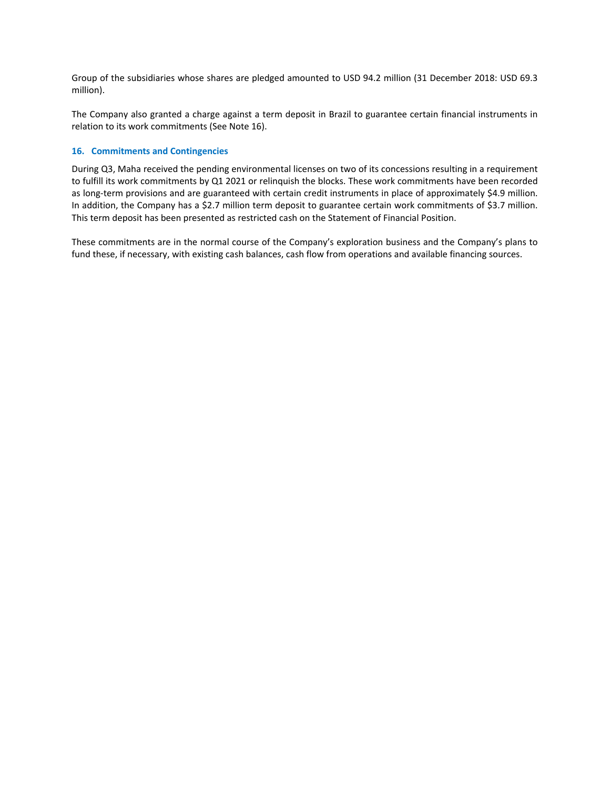Group of the subsidiaries whose shares are pledged amounted to USD 94.2 million (31 December 2018: USD 69.3 million).

The Company also granted a charge against a term deposit in Brazil to guarantee certain financial instruments in relation to its work commitments (See Note 16).

### **16. Commitments and Contingencies**

During Q3, Maha received the pending environmental licenses on two of its concessions resulting in a requirement to fulfill its work commitments by Q1 2021 or relinquish the blocks. These work commitments have been recorded as long-term provisions and are guaranteed with certain credit instruments in place of approximately \$4.9 million. In addition, the Company has a \$2.7 million term deposit to guarantee certain work commitments of \$3.7 million. This term deposit has been presented as restricted cash on the Statement of Financial Position.

These commitments are in the normal course of the Company's exploration business and the Company's plans to fund these, if necessary, with existing cash balances, cash flow from operations and available financing sources.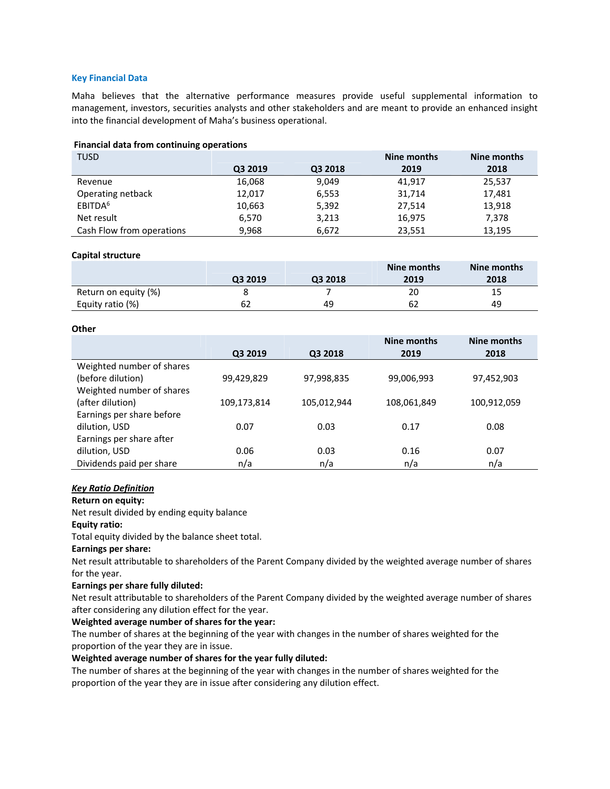### **Key Financial Data**

Maha believes that the alternative performance measures provide useful supplemental information to management, investors, securities analysts and other stakeholders and are meant to provide an enhanced insight into the financial development of Maha's business operational.

### **Financial data from continuing operations**

| <b>TUSD</b>               |         |         | Nine months | Nine months |
|---------------------------|---------|---------|-------------|-------------|
|                           | Q3 2019 | Q3 2018 | 2019        | 2018        |
| Revenue                   | 16,068  | 9,049   | 41,917      | 25,537      |
| Operating netback         | 12,017  | 6,553   | 31,714      | 17,481      |
| EBITDA <sup>6</sup>       | 10,663  | 5,392   | 27,514      | 13,918      |
| Net result                | 6,570   | 3,213   | 16,975      | 7,378       |
| Cash Flow from operations | 9,968   | 6,672   | 23,551      | 13,195      |

### **Capital structure**

|                      |         |         | Nine months | Nine months |
|----------------------|---------|---------|-------------|-------------|
|                      | Q3 2019 | Q3 2018 | 2019        | 2018        |
| Return on equity (%) |         |         | 20          | 15          |
| Equity ratio (%)     |         | 49      | 62          | 49          |

### **Other**

|                           |             |             | Nine months | Nine months |
|---------------------------|-------------|-------------|-------------|-------------|
|                           | Q3 2019     | Q3 2018     | 2019        | 2018        |
| Weighted number of shares |             |             |             |             |
| (before dilution)         | 99,429,829  | 97,998,835  | 99,006,993  | 97,452,903  |
| Weighted number of shares |             |             |             |             |
| (after dilution)          | 109,173,814 | 105,012,944 | 108,061,849 | 100,912,059 |
| Earnings per share before |             |             |             |             |
| dilution, USD             | 0.07        | 0.03        | 0.17        | 0.08        |
| Earnings per share after  |             |             |             |             |
| dilution, USD             | 0.06        | 0.03        | 0.16        | 0.07        |
| Dividends paid per share  | n/a         | n/a         | n/a         | n/a         |

### *Key Ratio Definition*

### **Return on equity:**

Net result divided by ending equity balance

# **Equity ratio:**

Total equity divided by the balance sheet total.

### **Earnings per share:**

Net result attributable to shareholders of the Parent Company divided by the weighted average number of shares for the year.

### **Earnings per share fully diluted:**

Net result attributable to shareholders of the Parent Company divided by the weighted average number of shares after considering any dilution effect for the year.

### **Weighted average number of shares for the year:**

The number of shares at the beginning of the year with changes in the number of shares weighted for the proportion of the year they are in issue.

### **Weighted average number of shares for the year fully diluted:**

The number of shares at the beginning of the year with changes in the number of shares weighted for the proportion of the year they are in issue after considering any dilution effect.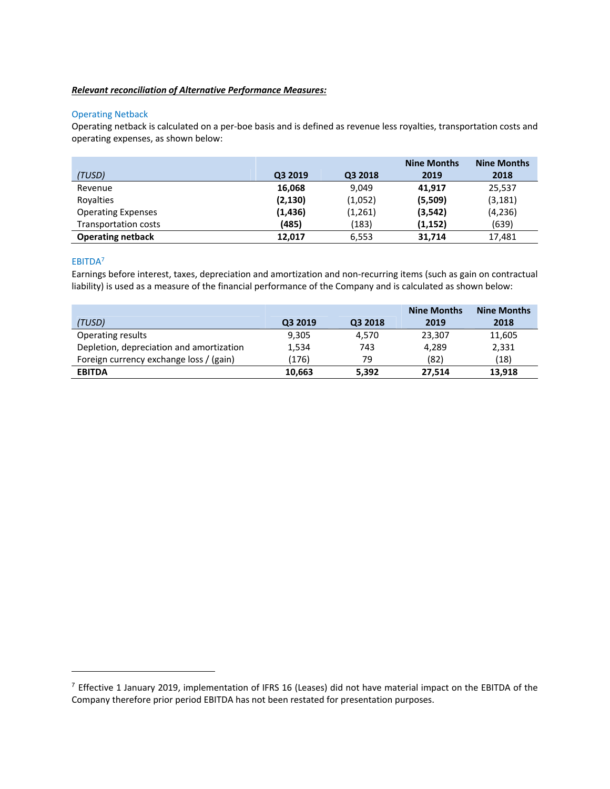### *Relevant reconciliation of Alternative Performance Measures:*

### Operating Netback

Operating netback is calculated on a per‐boe basis and is defined as revenue less royalties, transportation costs and operating expenses, as shown below:

|                           |          |         | <b>Nine Months</b> | <b>Nine Months</b> |
|---------------------------|----------|---------|--------------------|--------------------|
| (TUSD)                    | Q3 2019  | Q3 2018 | 2019               | 2018               |
| Revenue                   | 16.068   | 9,049   | 41.917             | 25,537             |
| Rovalties                 | (2, 130) | (1,052) | (5,509)            | (3, 181)           |
| <b>Operating Expenses</b> | (1, 436) | (1,261) | (3, 542)           | (4,236)            |
| Transportation costs      | (485)    | (183)   | (1, 152)           | (639)              |
| <b>Operating netback</b>  | 12,017   | 6,553   | 31,714             | 17,481             |

# EBITDA<sup>7</sup>

 $\overline{a}$ 

Earnings before interest, taxes, depreciation and amortization and non‐recurring items (such as gain on contractual liability) is used as a measure of the financial performance of the Company and is calculated as shown below:

|                                          |         |         | <b>Nine Months</b> | <b>Nine Months</b> |
|------------------------------------------|---------|---------|--------------------|--------------------|
| (TUSD)                                   | Q3 2019 | Q3 2018 | 2019               | 2018               |
| Operating results                        | 9,305   | 4.570   | 23,307             | 11,605             |
| Depletion, depreciation and amortization | 1,534   | 743     | 4.289              | 2,331              |
| Foreign currency exchange loss / (gain)  | (176)   | 79      | (82)               | (18)               |
| <b>EBITDA</b>                            | 10.663  | 5,392   | 27.514             | 13,918             |

<sup>&</sup>lt;sup>7</sup> Effective 1 January 2019, implementation of IFRS 16 (Leases) did not have material impact on the EBITDA of the Company therefore prior period EBITDA has not been restated for presentation purposes.